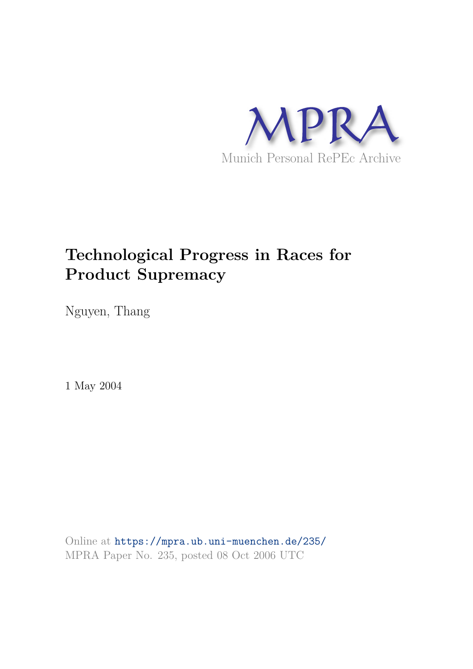

# **Technological Progress in Races for Product Supremacy**

Nguyen, Thang

1 May 2004

Online at https://mpra.ub.uni-muenchen.de/235/ MPRA Paper No. 235, posted 08 Oct 2006 UTC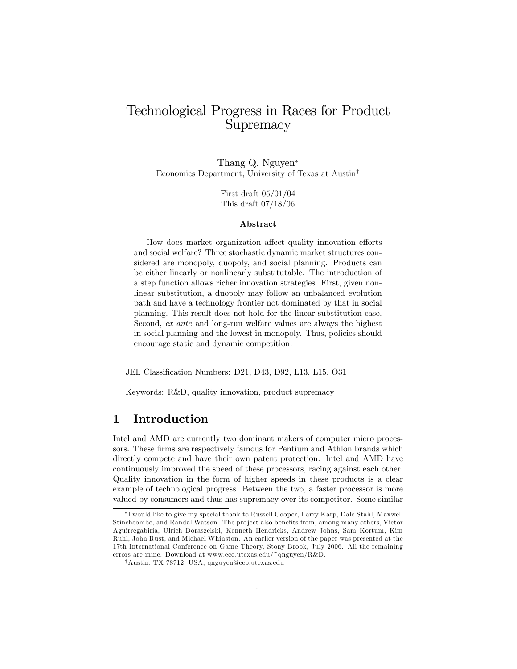# Technological Progress in Races for Product **Supremacy**

Thang Q. Nguyen Economics Department, University of Texas at Austin<sup>†</sup>

> First draft 05/01/04 This draft 07/18/06

#### Abstract

How does market organization affect quality innovation efforts and social welfare? Three stochastic dynamic market structures considered are monopoly, duopoly, and social planning. Products can be either linearly or nonlinearly substitutable. The introduction of a step function allows richer innovation strategies. First, given nonlinear substitution, a duopoly may follow an unbalanced evolution path and have a technology frontier not dominated by that in social planning. This result does not hold for the linear substitution case. Second, ex ante and long-run welfare values are always the highest in social planning and the lowest in monopoly. Thus, policies should encourage static and dynamic competition.

JEL Classification Numbers: D21, D43, D92, L13, L15, O31

Keywords: R&D, quality innovation, product supremacy

# 1 Introduction

Intel and AMD are currently two dominant makers of computer micro processors. These firms are respectively famous for Pentium and Athlon brands which directly compete and have their own patent protection. Intel and AMD have continuously improved the speed of these processors, racing against each other. Quality innovation in the form of higher speeds in these products is a clear example of technological progress. Between the two, a faster processor is more valued by consumers and thus has supremacy over its competitor. Some similar

I would like to give my special thank to Russell Cooper, Larry Karp, Dale Stahl, Maxwell Stinchcombe, and Randal Watson. The project also benefits from, among many others, Victor Aguirregabiria, Ulrich Doraszelski, Kenneth Hendricks, Andrew Johns, Sam Kortum, Kim Ruhl, John Rust, and Michael Whinston. An earlier version of the paper was presented at the 17th International Conference on Game Theory, Stony Brook, July 2006. All the remaining errors are mine. Download at www.eco.utexas.edu/~qnguyen/R&D.

<sup>y</sup>Austin, TX 78712, USA, qnguyen@eco.utexas.edu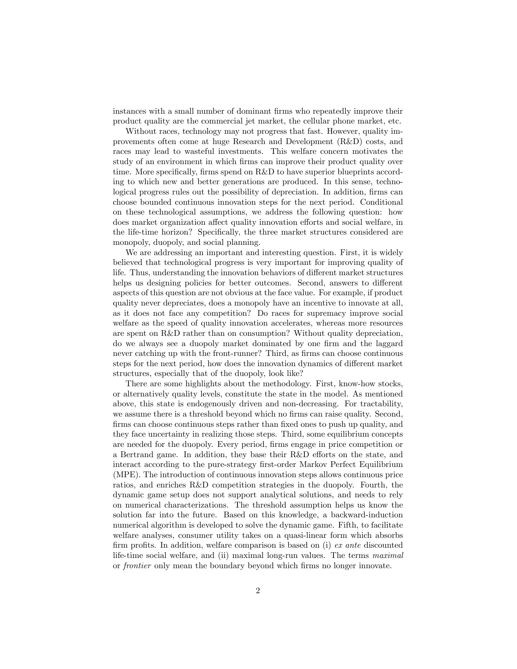instances with a small number of dominant firms who repeatedly improve their product quality are the commercial jet market, the cellular phone market, etc.

Without races, technology may not progress that fast. However, quality improvements often come at huge Research and Development (R&D) costs, and races may lead to wasteful investments. This welfare concern motivates the study of an environment in which firms can improve their product quality over time. More specifically, firms spend on  $R\&D$  to have superior blueprints according to which new and better generations are produced. In this sense, technological progress rules out the possibility of depreciation. In addition, firms can choose bounded continuous innovation steps for the next period. Conditional on these technological assumptions, we address the following question: how does market organization affect quality innovation efforts and social welfare, in the life-time horizon? Specifically, the three market structures considered are monopoly, duopoly, and social planning.

We are addressing an important and interesting question. First, it is widely believed that technological progress is very important for improving quality of life. Thus, understanding the innovation behaviors of different market structures helps us designing policies for better outcomes. Second, answers to different aspects of this question are not obvious at the face value. For example, if product quality never depreciates, does a monopoly have an incentive to innovate at all, as it does not face any competition? Do races for supremacy improve social welfare as the speed of quality innovation accelerates, whereas more resources are spent on R&D rather than on consumption? Without quality depreciation, do we always see a duopoly market dominated by one Örm and the laggard never catching up with the front-runner? Third, as firms can choose continuous steps for the next period, how does the innovation dynamics of different market structures, especially that of the duopoly, look like?

There are some highlights about the methodology. First, know-how stocks, or alternatively quality levels, constitute the state in the model. As mentioned above, this state is endogenously driven and non-decreasing. For tractability, we assume there is a threshold beyond which no firms can raise quality. Second, firms can choose continuous steps rather than fixed ones to push up quality, and they face uncertainty in realizing those steps. Third, some equilibrium concepts are needed for the duopoly. Every period, firms engage in price competition or a Bertrand game. In addition, they base their R&D efforts on the state, and interact according to the pure-strategy first-order Markov Perfect Equilibrium (MPE). The introduction of continuous innovation steps allows continuous price ratios, and enriches R&D competition strategies in the duopoly. Fourth, the dynamic game setup does not support analytical solutions, and needs to rely on numerical characterizations. The threshold assumption helps us know the solution far into the future. Based on this knowledge, a backward-induction numerical algorithm is developed to solve the dynamic game. Fifth, to facilitate welfare analyses, consumer utility takes on a quasi-linear form which absorbs firm profits. In addition, welfare comparison is based on (i)  $ex$  ante discounted life-time social welfare, and (ii) maximal long-run values. The terms maximal or *frontier* only mean the boundary beyond which firms no longer innovate.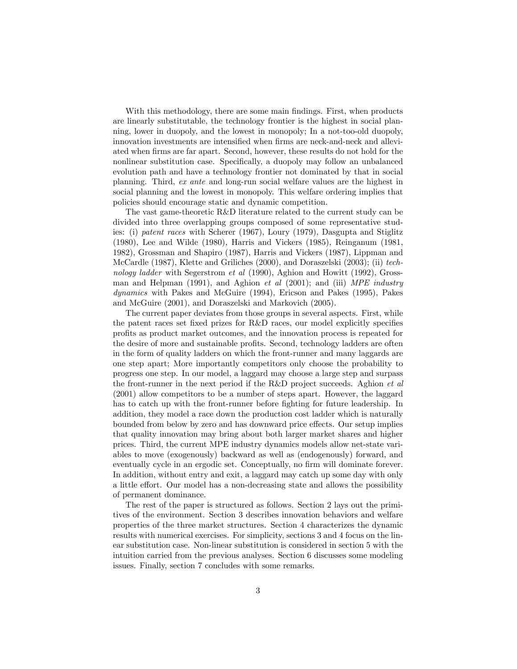With this methodology, there are some main findings. First, when products are linearly substitutable, the technology frontier is the highest in social planning, lower in duopoly, and the lowest in monopoly; In a not-too-old duopoly, innovation investments are intensified when firms are neck-and-neck and alleviated when firms are far apart. Second, however, these results do not hold for the nonlinear substitution case. Specifically, a duopoly may follow an unbalanced evolution path and have a technology frontier not dominated by that in social planning. Third, ex ante and long-run social welfare values are the highest in social planning and the lowest in monopoly. This welfare ordering implies that policies should encourage static and dynamic competition.

The vast game-theoretic R&D literature related to the current study can be divided into three overlapping groups composed of some representative studies: (i) patent races with Scherer (1967), Loury (1979), Dasgupta and Stiglitz (1980), Lee and Wilde (1980), Harris and Vickers (1985), Reinganum (1981, 1982), Grossman and Shapiro (1987), Harris and Vickers (1987), Lippman and McCardle (1987), Klette and Griliches (2000), and Doraszelski (2003); (ii) technology ladder with Segerstrom et al (1990), Aghion and Howitt (1992), Grossman and Helpman (1991), and Aghion *et al* (2001); and (iii)  $MPE$  *industry* dynamics with Pakes and McGuire (1994), Ericson and Pakes (1995), Pakes and McGuire (2001), and Doraszelski and Markovich (2005).

The current paper deviates from those groups in several aspects. First, while the patent races set fixed prizes for R&D races, our model explicitly specifies profits as product market outcomes, and the innovation process is repeated for the desire of more and sustainable profits. Second, technology ladders are often in the form of quality ladders on which the front-runner and many laggards are one step apart; More importantly competitors only choose the probability to progress one step. In our model, a laggard may choose a large step and surpass the front-runner in the next period if the R&D project succeeds. Aghion et al (2001) allow competitors to be a number of steps apart. However, the laggard has to catch up with the front-runner before fighting for future leadership. In addition, they model a race down the production cost ladder which is naturally bounded from below by zero and has downward price effects. Our setup implies that quality innovation may bring about both larger market shares and higher prices. Third, the current MPE industry dynamics models allow net-state variables to move (exogenously) backward as well as (endogenously) forward, and eventually cycle in an ergodic set. Conceptually, no firm will dominate forever. In addition, without entry and exit, a laggard may catch up some day with only a little effort. Our model has a non-decreasing state and allows the possibility of permanent dominance.

The rest of the paper is structured as follows. Section 2 lays out the primitives of the environment. Section 3 describes innovation behaviors and welfare properties of the three market structures. Section 4 characterizes the dynamic results with numerical exercises. For simplicity, sections 3 and 4 focus on the linear substitution case. Non-linear substitution is considered in section 5 with the intuition carried from the previous analyses. Section 6 discusses some modeling issues. Finally, section 7 concludes with some remarks.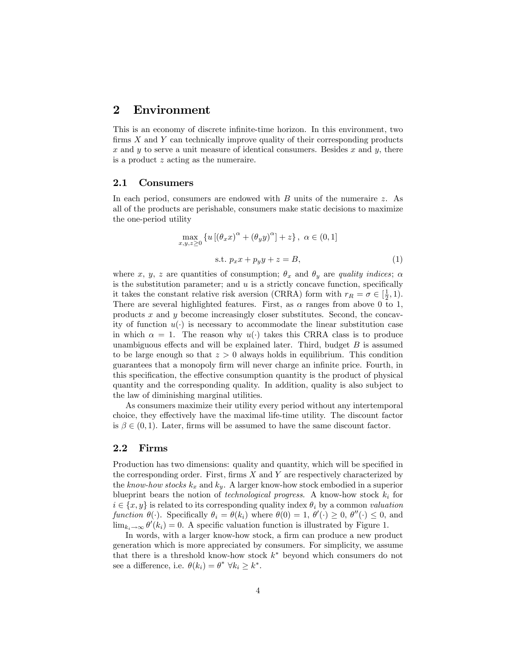# 2 Environment

This is an economy of discrete infinite-time horizon. In this environment, two firms  $X$  and  $Y$  can technically improve quality of their corresponding products x and y to serve a unit measure of identical consumers. Besides x and y, there is a product z acting as the numeraire.

#### 2.1 Consumers

In each period, consumers are endowed with  $B$  units of the numeraire  $z$ . As all of the products are perishable, consumers make static decisions to maximize the one-period utility

$$
\max_{x,y,z\geq 0} \left\{ u \left[ \left( \theta_x x \right)^\alpha + \left( \theta_y y \right)^\alpha \right] + z \right\}, \ \alpha \in (0,1]
$$
\n
$$
\text{s.t. } p_x x + p_y y + z = B,\tag{1}
$$

where x, y, z are quantities of consumption;  $\theta_x$  and  $\theta_y$  are quality indices;  $\alpha$ is the substitution parameter; and  $u$  is a strictly concave function, specifically it takes the constant relative risk aversion (CRRA) form with  $r_R = \sigma \in [\frac{1}{2}, 1)$ . There are several highlighted features. First, as  $\alpha$  ranges from above 0 to 1, products  $x$  and  $y$  become increasingly closer substitutes. Second, the concavity of function  $u(\cdot)$  is necessary to accommodate the linear substitution case in which  $\alpha = 1$ . The reason why  $u(\cdot)$  takes this CRRA class is to produce unambiguous effects and will be explained later. Third, budget  $B$  is assumed to be large enough so that  $z > 0$  always holds in equilibrium. This condition guarantees that a monopoly firm will never charge an infinite price. Fourth, in this specification, the effective consumption quantity is the product of physical quantity and the corresponding quality. In addition, quality is also subject to the law of diminishing marginal utilities.

As consumers maximize their utility every period without any intertemporal choice, they effectively have the maximal life-time utility. The discount factor is  $\beta \in (0, 1)$ . Later, firms will be assumed to have the same discount factor.

## 2.2 Firms

Production has two dimensions: quality and quantity, which will be specified in the corresponding order. First, firms  $X$  and  $Y$  are respectively characterized by the know-how stocks  $k_x$  and  $k_y$ . A larger know-how stock embodied in a superior blueprint bears the notion of *technological progress*. A know-how stock  $k_i$  for  $i \in \{x, y\}$  is related to its corresponding quality index  $\theta_i$  by a common valuation function  $\theta(\cdot)$ . Specifically  $\theta_i = \theta(k_i)$  where  $\theta(0) = 1, \theta'(\cdot) \geq 0, \theta''(\cdot) \leq 0$ , and  $\lim_{k_i \to \infty} \theta'(k_i) = 0$ . A specific valuation function is illustrated by Figure 1.

In words, with a larger know-how stock, a firm can produce a new product generation which is more appreciated by consumers. For simplicity, we assume that there is a threshold know-how stock  $k^*$  beyond which consumers do not see a difference, i.e.  $\theta(k_i) = \theta^* \ \forall k_i \geq k^*$ .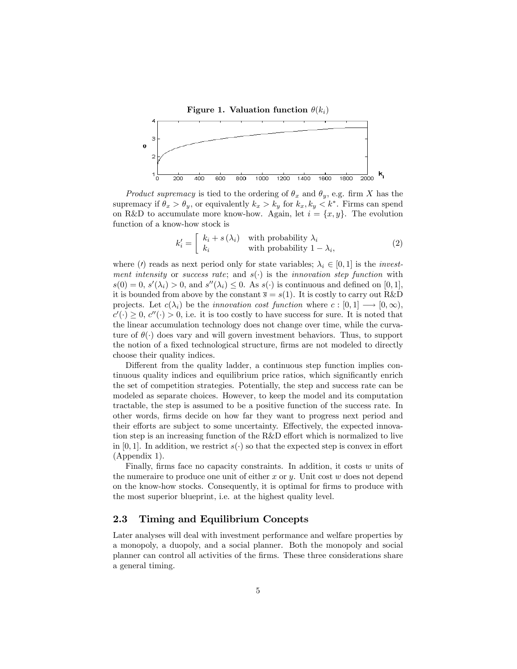Figure 1. Valuation function  $\theta(k_i)$ 



*Product supremacy* is tied to the ordering of  $\theta_x$  and  $\theta_y$ , e.g. firm X has the supremacy if  $\theta_x > \theta_y$ , or equivalently  $k_x > k_y$  for  $k_x, k_y < k^*$ . Firms can spend on R&D to accumulate more know-how. Again, let  $i = \{x, y\}$ . The evolution function of a know-how stock is

$$
k'_{i} = \begin{bmatrix} k_{i} + s(\lambda_{i}) & \text{with probability } \lambda_{i} \\ k_{i} & \text{with probability } 1 - \lambda_{i}, \end{bmatrix} \tag{2}
$$

where (*t*) reads as next period only for state variables;  $\lambda_i \in [0, 1]$  is the *invest*ment intensity or success rate; and  $s(.)$  is the innovation step function with  $s(0) = 0, s'(\lambda_i) > 0$ , and  $s''(\lambda_i) \leq 0$ . As  $s(\cdot)$  is continuous and defined on [0, 1], it is bounded from above by the constant  $\overline{s} = s(1)$ . It is costly to carry out R&D projects. Let  $c(\lambda_i)$  be the *innovation cost function* where  $c : [0,1] \longrightarrow [0,\infty),$  $c'(\cdot) \geq 0, c''(\cdot) > 0$ , i.e. it is too costly to have success for sure. It is noted that the linear accumulation technology does not change over time, while the curvature of  $\theta(\cdot)$  does vary and will govern investment behaviors. Thus, to support the notion of a fixed technological structure, firms are not modeled to directly choose their quality indices.

Different from the quality ladder, a continuous step function implies continuous quality indices and equilibrium price ratios, which significantly enrich the set of competition strategies. Potentially, the step and success rate can be modeled as separate choices. However, to keep the model and its computation tractable, the step is assumed to be a positive function of the success rate. In other words, Örms decide on how far they want to progress next period and their efforts are subject to some uncertainty. Effectively, the expected innovation step is an increasing function of the  $R\&D$  effort which is normalized to live in [0, 1]. In addition, we restrict  $s(\cdot)$  so that the expected step is convex in effort (Appendix 1).

Finally, firms face no capacity constraints. In addition, it costs  $w$  units of the numeraire to produce one unit of either x or  $y$ . Unit cost w does not depend on the know-how stocks. Consequently, it is optimal for Örms to produce with the most superior blueprint, i.e. at the highest quality level.

## 2.3 Timing and Equilibrium Concepts

Later analyses will deal with investment performance and welfare properties by a monopoly, a duopoly, and a social planner. Both the monopoly and social planner can control all activities of the Örms. These three considerations share a general timing.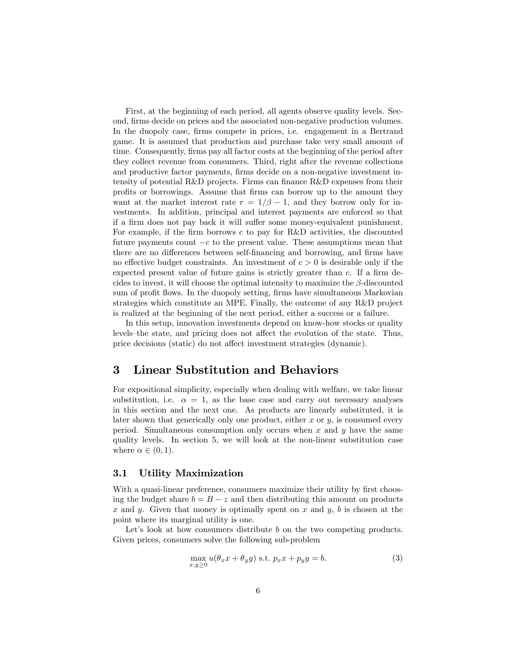First, at the beginning of each period, all agents observe quality levels. Second, firms decide on prices and the associated non-negative production volumes. In the duopoly case, firms compete in prices, i.e. engagement in a Bertrand game. It is assumed that production and purchase take very small amount of time. Consequently, firms pay all factor costs at the beginning of the period after they collect revenue from consumers. Third, right after the revenue collections and productive factor payments, firms decide on a non-negative investment intensity of potential  $R\&D$  projects. Firms can finance  $R\&D$  expenses from their profits or borrowings. Assume that firms can borrow up to the amount they want at the market interest rate  $r = 1/\beta - 1$ , and they borrow only for investments. In addition, principal and interest payments are enforced so that if a firm does not pay back it will suffer some money-equivalent punishment. For example, if the firm borrows  $c$  to pay for R&D activities, the discounted future payments count  $-c$  to the present value. These assumptions mean that there are no differences between self-financing and borrowing, and firms have no effective budget constraints. An investment of  $c > 0$  is desirable only if the expected present value of future gains is strictly greater than  $c$ . If a firm decides to invest, it will choose the optimal intensity to maximize the  $\beta$ -discounted sum of profit flows. In the duopoly setting, firms have simultaneous Markovian strategies which constitute an MPE. Finally, the outcome of any R&D project is realized at the beginning of the next period, either a success or a failure.

In this setup, innovation investments depend on know-how stocks or quality levels–the state, and pricing does not affect the evolution of the state. Thus, price decisions (static) do not affect investment strategies (dynamic).

# 3 Linear Substitution and Behaviors

For expositional simplicity, especially when dealing with welfare, we take linear substitution, i.e.  $\alpha = 1$ , as the base case and carry out necessary analyses in this section and the next one. As products are linearly substituted, it is later shown that generically only one product, either  $x$  or  $y$ , is consumed every period. Simultaneous consumption only occurs when x and  $y$  have the same quality levels. In section 5, we will look at the non-linear substitution case where  $\alpha \in (0, 1)$ .

## 3.1 Utility Maximization

With a quasi-linear preference, consumers maximize their utility by first choosing the budget share  $b = B - z$  and then distributing this amount on products x and y. Given that money is optimally spent on  $x$  and  $y$ ,  $b$  is chosen at the point where its marginal utility is one.

Let's look at how consumers distribute  $b$  on the two competing products. Given prices, consumers solve the following sub-problem

$$
\max_{x,y\geq 0} u(\theta_x x + \theta_y y) \text{ s.t. } p_x x + p_y y = b. \tag{3}
$$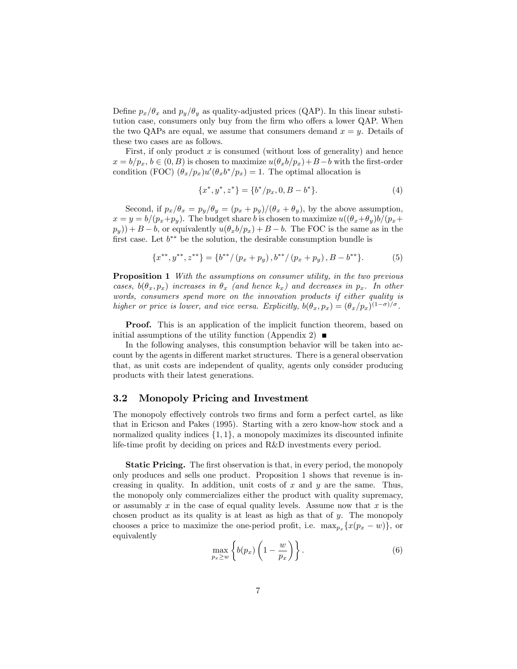Define  $p_x/\theta_x$  and  $p_y/\theta_y$  as quality-adjusted prices (QAP). In this linear substitution case, consumers only buy from the firm who offers a lower QAP. When the two QAPs are equal, we assume that consumers demand  $x = y$ . Details of these two cases are as follows.

First, if only product  $x$  is consumed (without loss of generality) and hence  $x = b/p_x, b \in (0, B)$  is chosen to maximize  $u(\theta_x b/p_x) + B - b$  with the first-order condition (FOC)  $(\theta_x/p_x)u'(\theta_x b^*/p_x) = 1$ . The optimal allocation is

$$
\{x^*, y^*, z^*\} = \{b^*/p_x, 0, B - b^*\}.
$$
 (4)

Second, if  $p_x/\theta_x = p_y/\theta_y = (p_x + p_y)/(\theta_x + \theta_y)$ , by the above assumption,  $x = y = b/(p_x+p_y)$ . The budget share b is chosen to maximize  $u((\theta_x+\theta_y)b/(p_x+p_y))$  $p_y$ ) + B – b, or equivalently  $u(\theta_x b/p_x) + B - b$ . The FOC is the same as in the first case. Let  $b^{**}$  be the solution, the desirable consumption bundle is

$$
\{x^{**}, y^{**}, z^{**}\} = \{b^{**}/(p_x + p_y), b^{**}/(p_x + p_y), B - b^{**}\}.
$$
 (5)

**Proposition 1** With the assumptions on consumer utility, in the two previous cases,  $b(\theta_x, p_x)$  increases in  $\theta_x$  (and hence  $k_x$ ) and decreases in  $p_x$ . In other words, consumers spend more on the innovation products if either quality is higher or price is lower, and vice versa. Explicitly,  $b(\theta_x, p_x) = (\theta_x/p_x)^{(1-\sigma)/\sigma}$ .

Proof. This is an application of the implicit function theorem, based on initial assumptions of the utility function (Appendix 2)  $\blacksquare$ 

In the following analyses, this consumption behavior will be taken into account by the agents in different market structures. There is a general observation that, as unit costs are independent of quality, agents only consider producing products with their latest generations.

#### 3.2 Monopoly Pricing and Investment

The monopoly effectively controls two firms and form a perfect cartel, as like that in Ericson and Pakes (1995). Starting with a zero know-how stock and a normalized quality indices  $\{1, 1\}$ , a monopoly maximizes its discounted infinite life-time profit by deciding on prices and R&D investments every period.

**Static Pricing.** The first observation is that, in every period, the monopoly only produces and sells one product. Proposition 1 shows that revenue is increasing in quality. In addition, unit costs of x and  $y$  are the same. Thus, the monopoly only commercializes either the product with quality supremacy, or assumably  $x$  in the case of equal quality levels. Assume now that  $x$  is the chosen product as its quality is at least as high as that of  $y$ . The monopoly chooses a price to maximize the one-period profit, i.e.  $\max_{p_x} \{x(p_x - w)\}\,$  or equivalently

$$
\max_{p_x \ge w} \left\{ b(p_x) \left( 1 - \frac{w}{p_x} \right) \right\}.
$$
\n(6)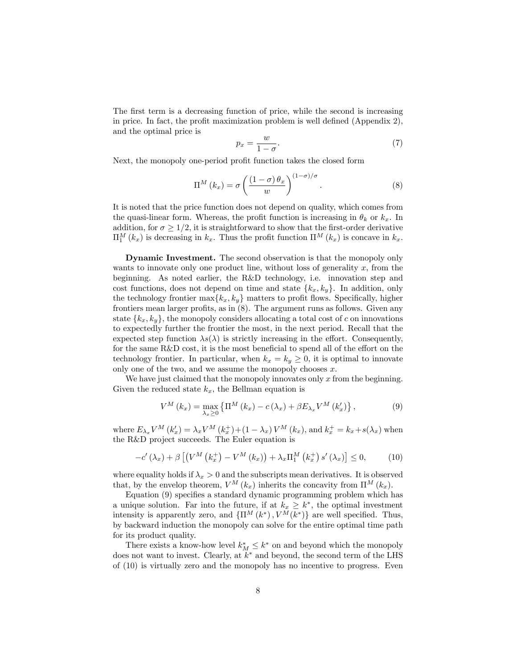The first term is a decreasing function of price, while the second is increasing in price. In fact, the profit maximization problem is well defined (Appendix  $2$ ), and the optimal price is

$$
p_x = \frac{w}{1 - \sigma}.\tag{7}
$$

Next, the monopoly one-period profit function takes the closed form

$$
\Pi^{M}\left(k_{x}\right) = \sigma \left(\frac{\left(1-\sigma\right)\theta_{x}}{w}\right)^{\left(1-\sigma\right)/\sigma}.
$$
\n(8)

It is noted that the price function does not depend on quality, which comes from the quasi-linear form. Whereas, the profit function is increasing in  $\theta_k$  or  $k_x$ . In addition, for  $\sigma \geq 1/2$ , it is straightforward to show that the first-order derivative  $\Pi_1^M(k_x)$  is decreasing in  $k_x$ . Thus the profit function  $\Pi^M(k_x)$  is concave in  $k_x$ .

Dynamic Investment. The second observation is that the monopoly only wants to innovate only one product line, without loss of generality  $x$ , from the beginning. As noted earlier, the R&D technology, i.e. innovation step and cost functions, does not depend on time and state  ${k_x, k_y}$ . In addition, only the technology frontier  $\max\{k_x, k_y\}$  matters to profit flows. Specifically, higher frontiers mean larger profits, as in  $(8)$ . The argument runs as follows. Given any state  $\{k_x, k_y\}$ , the monopoly considers allocating a total cost of c on innovations to expectedly further the frontier the most, in the next period. Recall that the expected step function  $\lambda s(\lambda)$  is strictly increasing in the effort. Consequently, for the same  $R&D \text{ cost},$  it is the most beneficial to spend all of the effort on the technology frontier. In particular, when  $k_x = k_y \geq 0$ , it is optimal to innovate only one of the two, and we assume the monopoly chooses  $x$ .

We have just claimed that the monopoly innovates only  $x$  from the beginning. Given the reduced state  $k_x$ , the Bellman equation is

$$
V^{M}\left(k_{x}\right)=\max_{\lambda_{x}\geq0}\left\{ \Pi^{M}\left(k_{x}\right)-c\left(\lambda_{x}\right)+\beta E_{\lambda_{x}}V^{M}\left(k_{x}'\right)\right\} ,\qquad \qquad(9)
$$

where  $E_{\lambda_x} V^M (k'_x) = \lambda_x V^M (k_x^+) + (1 - \lambda_x) V^M (k_x)$ , and  $k_x^+ = k_x + s(\lambda_x)$  when the R&D project succeeds. The Euler equation is

$$
-c'(\lambda_x) + \beta \left[ \left( V^M \left( k_x^+ \right) - V^M \left( k_x \right) \right) + \lambda_x \Pi_1^M \left( k_x^+ \right) s'(\lambda_x) \right] \le 0, \tag{10}
$$

where equality holds if  $\lambda_x > 0$  and the subscripts mean derivatives. It is observed that, by the envelop theorem,  $V^M(k_x)$  inherits the concavity from  $\Pi^M(k_x)$ .

Equation  $(9)$  specifies a standard dynamic programming problem which has a unique solution. Far into the future, if at  $k_x \geq k^*$ , the optimal investment intensity is apparently zero, and  $\{\Pi^{M}(k^*), V^{M}(k^*)\}$  are well specified. Thus, by backward induction the monopoly can solve for the entire optimal time path for its product quality.

There exists a know-how level  $k_M^* \leq k^*$  on and beyond which the monopoly does not want to invest. Clearly, at  $k^*$  and beyond, the second term of the LHS of (10) is virtually zero and the monopoly has no incentive to progress. Even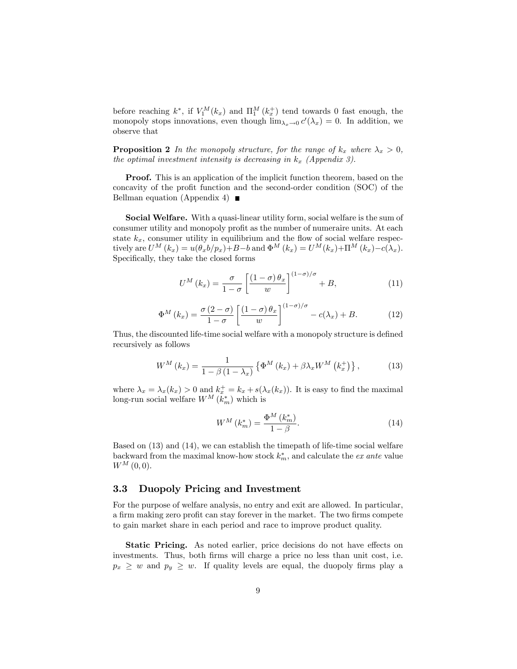before reaching  $k^*$ , if  $V_1^M(k_x)$  and  $\Pi_1^M(k_x^+)$  tend towards 0 fast enough, the monopoly stops innovations, even though  $\lim_{\lambda_x \to 0} c'(\lambda_x) = 0$ . In addition, we observe that

**Proposition 2** In the monopoly structure, for the range of  $k_x$  where  $\lambda_x > 0$ , the optimal investment intensity is decreasing in  $k_x$  (Appendix 3).

Proof. This is an application of the implicit function theorem, based on the concavity of the profit function and the second-order condition (SOC) of the Bellman equation (Appendix 4)  $\blacksquare$ 

Social Welfare. With a quasi-linear utility form, social welfare is the sum of consumer utility and monopoly profit as the number of numeraire units. At each state  $k_x$ , consumer utility in equilibrium and the flow of social welfare respectively are  $U^M(k_x) = u(\theta_x b/p_x) + B - b$  and  $\Phi^M(k_x) = U^M(k_x) + \Pi^M(k_x) - c(\lambda_x)$ . Specifically, they take the closed forms

$$
U^{M}\left(k_{x}\right) = \frac{\sigma}{1-\sigma} \left[\frac{\left(1-\sigma\right)\theta_{x}}{w}\right]^{\left(1-\sigma\right)/\sigma} + B, \tag{11}
$$

$$
\Phi^M(k_x) = \frac{\sigma(2-\sigma)}{1-\sigma} \left[ \frac{(1-\sigma)\theta_x}{w} \right]^{(1-\sigma)/\sigma} - c(\lambda_x) + B. \tag{12}
$$

Thus, the discounted life-time social welfare with a monopoly structure is defined recursively as follows

$$
W^{M}\left(k_{x}\right) = \frac{1}{1 - \beta\left(1 - \lambda_{x}\right)} \left\{\Phi^{M}\left(k_{x}\right) + \beta\lambda_{x} W^{M}\left(k_{x}^{+}\right)\right\},\tag{13}
$$

where  $\lambda_x = \lambda_x(k_x) > 0$  and  $k_x^+ = k_x + s(\lambda_x(k_x))$ . It is easy to find the maximal long-run social welfare  $W^M(k_m^*)$  which is

$$
W^M\left(k_m^*\right) = \frac{\Phi^M\left(k_m^*\right)}{1-\beta}.\tag{14}
$$

Based on (13) and (14), we can establish the timepath of life-time social welfare backward from the maximal know-how stock  $k_m^*$ , and calculate the *ex ante* value  $W^{M} (0,0).$ 

## 3.3 Duopoly Pricing and Investment

For the purpose of welfare analysis, no entry and exit are allowed. In particular, a firm making zero profit can stay forever in the market. The two firms compete to gain market share in each period and race to improve product quality.

**Static Pricing.** As noted earlier, price decisions do not have effects on investments. Thus, both firms will charge a price no less than unit cost, i.e.  $p_x \geq w$  and  $p_y \geq w$ . If quality levels are equal, the duopoly firms play a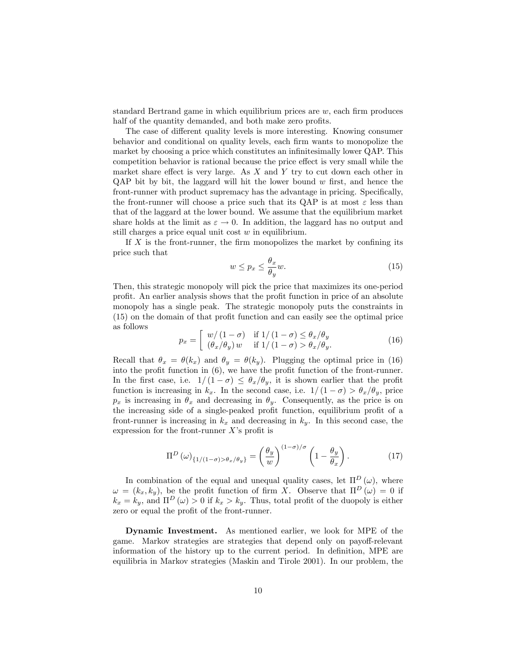standard Bertrand game in which equilibrium prices are  $w$ , each firm produces half of the quantity demanded, and both make zero profits.

The case of different quality levels is more interesting. Knowing consumer behavior and conditional on quality levels, each Örm wants to monopolize the market by choosing a price which constitutes an infinitesimally lower QAP. This competition behavior is rational because the price effect is very small while the market share effect is very large. As  $X$  and  $Y$  try to cut down each other in  $QAP$  bit by bit, the laggard will hit the lower bound w first, and hence the front-runner with product supremacy has the advantage in pricing. Specifically, the front-runner will choose a price such that its QAP is at most  $\varepsilon$  less than that of the laggard at the lower bound. We assume that the equilibrium market share holds at the limit as  $\varepsilon \to 0$ . In addition, the laggard has no output and still charges a price equal unit cost w in equilibrium.

If  $X$  is the front-runner, the firm monopolizes the market by confining its price such that

$$
w \le p_x \le \frac{\theta_x}{\theta_y} w. \tag{15}
$$

Then, this strategic monopoly will pick the price that maximizes its one-period profit. An earlier analysis shows that the profit function in price of an absolute monopoly has a single peak. The strategic monopoly puts the constraints in  $(15)$  on the domain of that profit function and can easily see the optimal price as follows

$$
p_x = \begin{bmatrix} w/(1-\sigma) & \text{if } 1/(1-\sigma) \le \theta_x/\theta_y \\ (\theta_x/\theta_y) w & \text{if } 1/(1-\sigma) > \theta_x/\theta_y. \end{bmatrix}
$$
(16)

Recall that  $\theta_x = \theta(k_x)$  and  $\theta_y = \theta(k_y)$ . Plugging the optimal price in (16) into the profit function in  $(6)$ , we have the profit function of the front-runner. In the first case, i.e.  $1/(1 - \sigma) \leq \theta_x/\theta_y$ , it is shown earlier that the profit function is increasing in  $k_x$ . In the second case, i.e.  $1/(1 - \sigma) > \theta_x/\theta_y$ , price  $p_x$  is increasing in  $\theta_x$  and decreasing in  $\theta_y$ . Consequently, as the price is on the increasing side of a single-peaked profit function, equilibrium profit of a front-runner is increasing in  $k_x$  and decreasing in  $k_y$ . In this second case, the expression for the front-runner  $X$ 's profit is

$$
\Pi^{D}(\omega)_{\{1/(1-\sigma)>\theta_{x}/\theta_{y}\}} = \left(\frac{\theta_{y}}{w}\right)^{(1-\sigma)/\sigma} \left(1 - \frac{\theta_{y}}{\theta_{x}}\right). \tag{17}
$$

In combination of the equal and unequal quality cases, let  $\Pi^D(\omega)$ , where  $\omega = (k_x, k_y)$ , be the profit function of firm X. Observe that  $\Pi^D(\omega) = 0$  if  $k_x = k_y$ , and  $\Pi^D(\omega) > 0$  if  $k_x > k_y$ . Thus, total profit of the duopoly is either zero or equal the profit of the front-runner.

Dynamic Investment. As mentioned earlier, we look for MPE of the game. Markov strategies are strategies that depend only on payoff-relevant information of the history up to the current period. In definition, MPE are equilibria in Markov strategies (Maskin and Tirole 2001). In our problem, the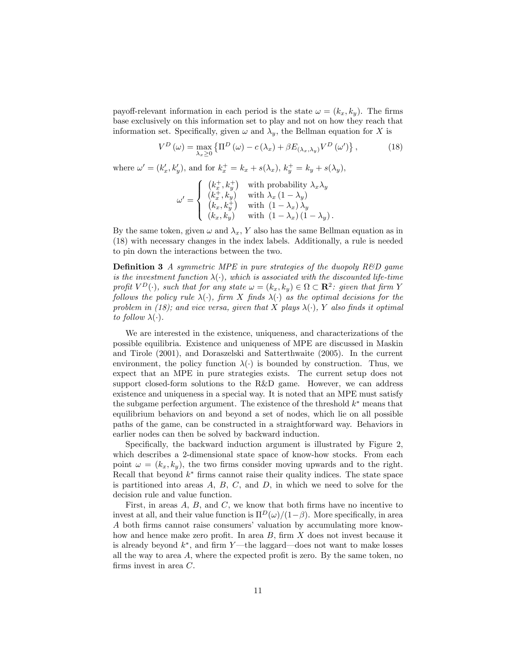payoff-relevant information in each period is the state  $\omega = (k_x, k_y)$ . The firms base exclusively on this information set to play and not on how they reach that information set. Specifically, given  $\omega$  and  $\lambda_y$ , the Bellman equation for X is

$$
V^{D}(\omega) = \max_{\lambda_{x} \ge 0} \left\{ \Pi^{D}(\omega) - c(\lambda_{x}) + \beta E_{(\lambda_{x}, \lambda_{y})} V^{D}(\omega') \right\},
$$
 (18)

where  $\omega' = (k'_x, k'_y)$ , and for  $k_x^+ = k_x + s(\lambda_x)$ ,  $k_y^+ = k_y + s(\lambda_y)$ ,

$$
\omega' = \begin{cases} \begin{array}{ll} \left(k_x^+,k_y^+\right) & \text{with probability } \lambda_x\lambda_y \\ \left(k_x^+,k_y\right) & \text{with } \lambda_x\left(1-\lambda_y\right) \\ \left(k_x,k_y^+\right) & \text{with } \left(1-\lambda_x\right)\lambda_y \\ \left(k_x,k_y\right) & \text{with } \left(1-\lambda_x\right)\left(1-\lambda_y\right). \end{array} \end{cases}
$$

By the same token, given  $\omega$  and  $\lambda_x$ , Y also has the same Bellman equation as in (18) with necessary changes in the index labels. Additionally, a rule is needed to pin down the interactions between the two.

**Definition 3** A symmetric MPE in pure strategies of the duopoly  $R\&D$  game is the investment function  $\lambda(\cdot)$ , which is associated with the discounted life-time profit  $V^D(\cdot)$ , such that for any state  $\omega = (k_x, k_y) \in \Omega \subset \mathbb{R}^2$ : given that firm Y follows the policy rule  $\lambda(\cdot)$ , firm X finds  $\lambda(\cdot)$  as the optimal decisions for the problem in (18); and vice versa, given that X plays  $\lambda(\cdot)$ , Y also finds it optimal to follow  $\lambda(\cdot)$ .

We are interested in the existence, uniqueness, and characterizations of the possible equilibria. Existence and uniqueness of MPE are discussed in Maskin and Tirole (2001), and Doraszelski and Satterthwaite (2005). In the current environment, the policy function  $\lambda(\cdot)$  is bounded by construction. Thus, we expect that an MPE in pure strategies exists. The current setup does not support closed-form solutions to the R&D game. However, we can address existence and uniqueness in a special way. It is noted that an MPE must satisfy the subgame perfection argument. The existence of the threshold  $k^*$  means that equilibrium behaviors on and beyond a set of nodes, which lie on all possible paths of the game, can be constructed in a straightforward way. Behaviors in earlier nodes can then be solved by backward induction.

Specifically, the backward induction argument is illustrated by Figure 2, which describes a 2-dimensional state space of know-how stocks. From each point  $\omega = (k_x, k_y)$ , the two firms consider moving upwards and to the right. Recall that beyond  $k^*$  firms cannot raise their quality indices. The state space is partitioned into areas  $A, B, C$ , and  $D$ , in which we need to solve for the decision rule and value function.

First, in areas  $A$ ,  $B$ , and  $C$ , we know that both firms have no incentive to invest at all, and their value function is  $\Pi^D(\omega)/(1-\beta)$ . More specifically, in area A both firms cannot raise consumers' valuation by accumulating more knowhow and hence make zero profit. In area  $B$ , firm  $X$  does not invest because it is already beyond  $k^*$ , and firm Y—the laggard—does not want to make losses all the way to area  $A$ , where the expected profit is zero. By the same token, no firms invest in area  $C$ .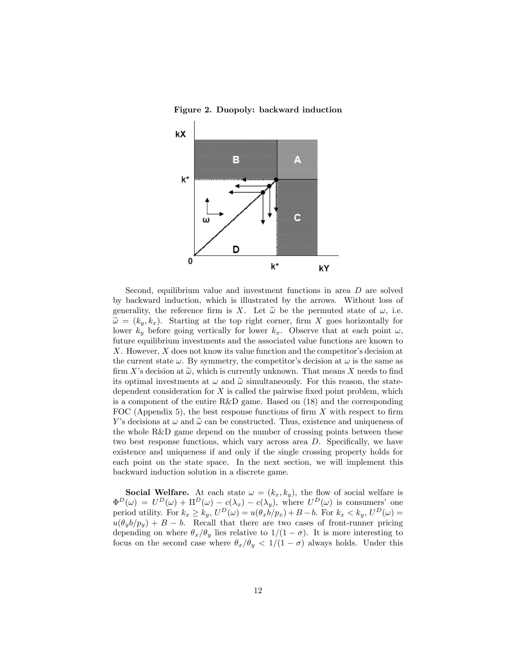Figure 2. Duopoly: backward induction



Second, equilibrium value and investment functions in area D are solved by backward induction, which is illustrated by the arrows. Without loss of generality, the reference firm is X. Let  $\tilde{\omega}$  be the permuted state of  $\omega$ , i.e.  $\tilde{\omega} = (k_y, k_x)$ . Starting at the top right corner, firm X goes horizontally for lower  $k_y$  before going vertically for lower  $k_x$ . Observe that at each point  $\omega$ , future equilibrium investments and the associated value functions are known to  $X$ . However,  $X$  does not know its value function and the competitor's decision at the current state  $\omega$ . By symmetry, the competitor's decision at  $\omega$  is the same as firm X's decision at  $\tilde{\omega}$ , which is currently unknown. That means X needs to find its optimal investments at  $\omega$  and  $\tilde{\omega}$  simultaneously. For this reason, the statedependent consideration for  $X$  is called the pairwise fixed point problem, which is a component of the entire R&D game. Based on (18) and the corresponding FOC (Appendix 5), the best response functions of firm  $X$  with respect to firm Y's decisions at  $\omega$  and  $\tilde{\omega}$  can be constructed. Thus, existence and uniqueness of the whole R&D game depend on the number of crossing points between these two best response functions, which vary across area  $D$ . Specifically, we have existence and uniqueness if and only if the single crossing property holds for each point on the state space. In the next section, we will implement this backward induction solution in a discrete game.

**Social Welfare.** At each state  $\omega = (k_x, k_y)$ , the flow of social welfare is  $\Phi^D(\omega) = U^D(\omega) + \Pi^D(\omega) - c(\lambda_x) - c(\lambda_y)$ , where  $U^D(\omega)$  is consumers' one period utility. For  $k_x \geq k_y$ ,  $U^D(\omega) = u(\theta_x b / p_x) + B - b$ . For  $k_x < k_y$ ,  $U^D(\omega) =$  $u(\theta_{\nu}b/p_{\nu}) + B - b$ . Recall that there are two cases of front-runner pricing depending on where  $\theta_x/\theta_y$  lies relative to  $1/(1 - \sigma)$ . It is more interesting to focus on the second case where  $\theta_x/\theta_y < 1/(1 - \sigma)$  always holds. Under this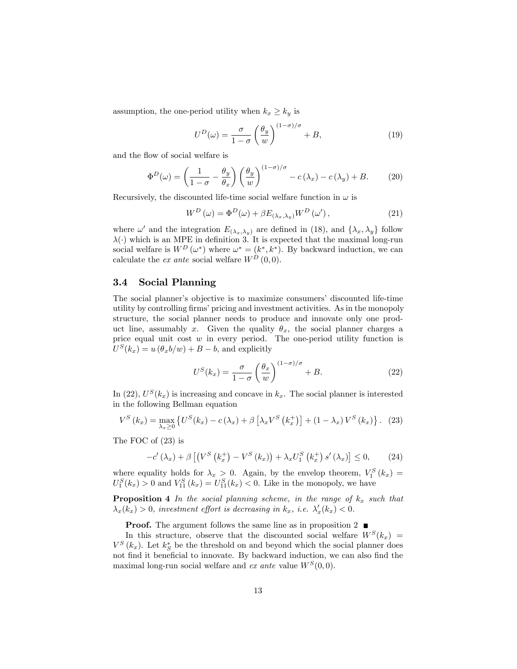assumption, the one-period utility when  $k_x \geq k_y$  is

$$
U^{D}(\omega) = \frac{\sigma}{1 - \sigma} \left(\frac{\theta_{y}}{w}\right)^{(1 - \sigma)/\sigma} + B, \qquad (19)
$$

and the flow of social welfare is

$$
\Phi^{D}(\omega) = \left(\frac{1}{1-\sigma} - \frac{\theta_{y}}{\theta_{x}}\right) \left(\frac{\theta_{y}}{w}\right)^{(1-\sigma)/\sigma} - c(\lambda_{x}) - c(\lambda_{y}) + B. \tag{20}
$$

Recursively, the discounted life-time social welfare function in  $\omega$  is

$$
W^{D}(\omega) = \Phi^{D}(\omega) + \beta E_{(\lambda_{x},\lambda_{y})} W^{D}(\omega'), \qquad (21)
$$

where  $\omega'$  and the integration  $E_{(\lambda_x,\lambda_y)}$  are defined in (18), and  $\{\lambda_x,\lambda_y\}$  follow  $\lambda(\cdot)$  which is an MPE in definition 3. It is expected that the maximal long-run social welfare is  $W^{D}(\omega^*)$  where  $\omega^* = (k^*, k^*)$ . By backward induction, we can calculate the ex ante social welfare  $W^D(0,0)$ .

#### 3.4 Social Planning

The social planner's objective is to maximize consumers' discounted life-time utility by controlling firms' pricing and investment activities. As in the monopoly structure, the social planner needs to produce and innovate only one product line, assumably x. Given the quality  $\theta_x$ , the social planner charges a price equal unit cost  $w$  in every period. The one-period utility function is  $U^{S}(k_x) = u(\theta_x b/w) + B - b$ , and explicitly

$$
U^{S}(k_{x}) = \frac{\sigma}{1-\sigma} \left(\frac{\theta_{x}}{w}\right)^{(1-\sigma)/\sigma} + B.
$$
 (22)

In (22),  $U^{S}(k_x)$  is increasing and concave in  $k_x$ . The social planner is interested in the following Bellman equation

$$
V^{S}\left(k_{x}\right)=\max_{\lambda_{x}\geq0}\left\{ U^{S}(k_{x})-c\left(\lambda_{x}\right)+\beta\left[\lambda_{x}V^{S}\left(k_{x}^{+}\right)\right]+(1-\lambda_{x})V^{S}\left(k_{x}\right)\right\} .
$$
 (23)

The FOC of (23) is

$$
-c'(\lambda_x) + \beta \left[ \left( V^S \left( k_x^+ \right) - V^S \left( k_x \right) \right) + \lambda_x U_1^S \left( k_x^+ \right) s' \left( k_x \right) \right] \leq 0, \qquad (24)
$$

where equality holds for  $\lambda_x > 0$ . Again, by the envelop theorem,  $V_1^S(k_x) =$  $U_1^S(k_x) > 0$  and  $V_{11}^S(k_x) = U_{11}^S(k_x) < 0$ . Like in the monopoly, we have

**Proposition 4** In the social planning scheme, in the range of  $k_x$  such that  $\lambda_x(k_x) > 0$ , investment effort is decreasing in  $k_x$ , i.e.  $\lambda'_x(k_x) < 0$ .

**Proof.** The argument follows the same line as in proposition 2

In this structure, observe that the discounted social welfare  $W<sup>S</sup>(k<sub>x</sub>)$  =  $V^S(k_x)$ . Let  $k_S^*$  be the threshold on and beyond which the social planner does not find it beneficial to innovate. By backward induction, we can also find the maximal long-run social welfare and  $ex$  ante value  $W^S(0,0)$ .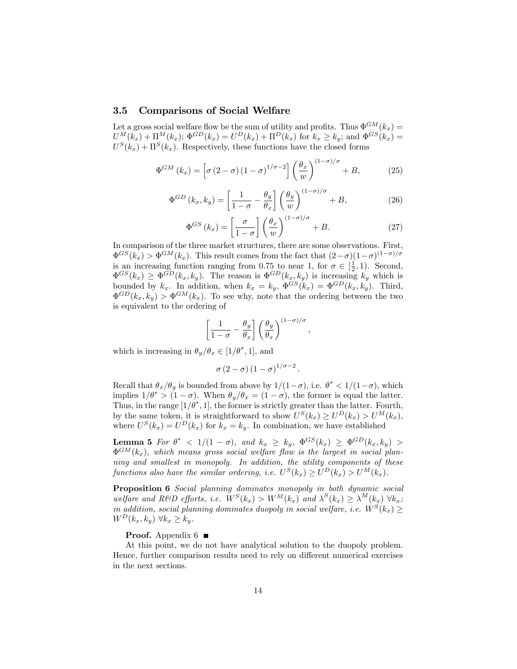#### 3.5 Comparisons of Social Welfare

Let a gross social welfare flow be the sum of utility and profits. Thus  $\Phi^{GM}(k_x)$  =  $U^M(k_x) + \Pi^M(k_x)$ ;  $\Phi^{GD}(k_x) = U^D(k_x) + \Pi^D(k_x)$  for  $k_x \ge k_y$ ; and  $\Phi^{GS}(k_x) =$  $U^{S}(k_x) + \Pi^{S}(k_x)$ . Respectively, these functions have the closed forms

$$
\Phi^{GM}(k_x) = \left[\sigma\left(2-\sigma\right)\left(1-\sigma\right)^{1/\sigma-2}\right] \left(\frac{\theta_x}{w}\right)^{(1-\sigma)/\sigma} + B,\tag{25}
$$

$$
\Phi^{GD}(k_x, k_y) = \left[\frac{1}{1-\sigma} - \frac{\theta_y}{\theta_x}\right] \left(\frac{\theta_y}{w}\right)^{(1-\sigma)/\sigma} + B,\tag{26}
$$

$$
\Phi^{GS}(k_x) = \left[\frac{\sigma}{1-\sigma}\right] \left(\frac{\theta_x}{w}\right)^{(1-\sigma)/\sigma} + B. \tag{27}
$$

;

In comparison of the three market structures, there are some observations. First,  $\Phi^{GS}(k_x) > \Phi^{GM}(k_x)$ . This result comes from the fact that  $(2-\sigma)(1-\sigma)^{(1-\sigma)/\sigma}$ is an increasing function ranging from 0.75 to near 1, for  $\sigma \in [\frac{1}{2}, 1)$ . Second,  $\Phi^{GS}(k_x) \geq \Phi^{GD}(k_x, k_y)$ . The reason is  $\Phi^{GD}(k_x, k_y)$  is increasing  $k_y$  which is bounded by  $k_x$ . In addition, when  $k_x = k_y$ ,  $\Phi^{GS}(k_x) = \Phi^{GD}(k_x, k_y)$ . Third,  $\Phi^{GD}(k_x, k_y) > \Phi^{GM}(k_x)$ . To see why, note that the ordering between the two is equivalent to the ordering of

$$
\left[\frac{1}{1-\sigma}-\frac{\theta_y}{\theta_x}\right]\left(\frac{\theta_y}{\theta_x}\right)^{(1-\sigma)/\sigma}
$$

which is increasing in  $\theta_y/\theta_x \in [1/\theta^*, 1]$ , and

$$
\sigma(2-\sigma)(1-\sigma)^{1/\sigma-2}.
$$

Recall that  $\theta_x/\theta_y$  is bounded from above by  $1/(1-\sigma)$ , i.e.  $\theta^* < 1/(1-\sigma)$ , which implies  $1/\theta^* > (1 - \sigma)$ . When  $\theta_y/\theta_x = (1 - \sigma)$ , the former is equal the latter. Thus, in the range  $[1/\theta^*, 1]$ , the former is strictly greater than the latter. Fourth, by the same token, it is straightforward to show  $U^{S}(k_x) \geq U^{D}(k_x) > U^{M}(k_x)$ , where  $U^{S}(k_x) = U^{D}(k_x)$  for  $k_x = k_y$ . In combination, we have established

**Lemma 5** For  $\theta^*$  < 1/(1 -  $\sigma$ ), and  $k_x \geq k_y$ ,  $\Phi^{GS}(k_x) \geq \Phi^{GD}(k_x, k_y)$  $\Phi^{GM}(k_x)$ , which means gross social welfare flow is the largest in social planning and smallest in monopoly. In addition, the utility components of these functions also have the similar ordering, i.e.  $U^{S}(k_x) \geq U^{D}(k_x) > U^{M}(k_x)$ .

Proposition 6 Social planning dominates monopoly in both dynamic social welfare and R&D efforts, i.e.  $W^S(k_x) > W^M(k_x)$  and  $\lambda^S(k_x) \geq \lambda^M(k_x) \forall k_x$ ; in addition, social planning dominates duopoly in social welfare, i.e.  $W^S(k_x) \geq$  $W^D(k_x, k_y)$   $\forall k_x \geq k_y$ .

#### **Proof.** Appendix  $6 \blacksquare$

At this point, we do not have analytical solution to the duopoly problem. Hence, further comparison results need to rely on different numerical exercises in the next sections.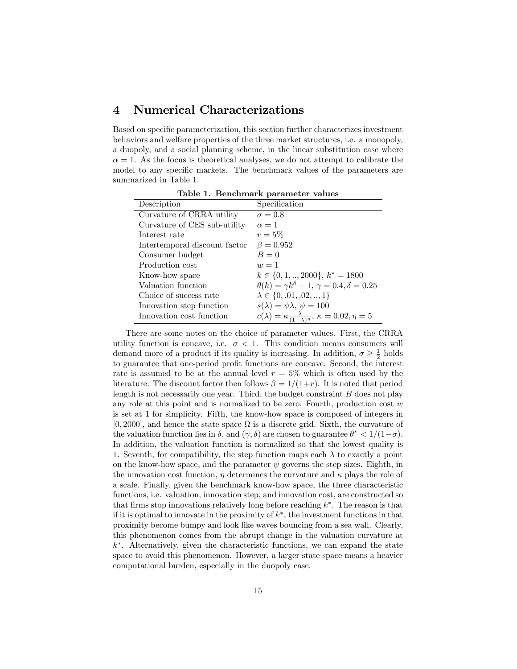# 4 Numerical Characterizations

Based on specific parameterization, this section further characterizes investment behaviors and welfare properties of the three market structures, i.e. a monopoly, a duopoly, and a social planning scheme, in the linear substitution case where  $\alpha = 1$ . As the focus is theoretical analyses, we do not attempt to calibrate the model to any specific markets. The benchmark values of the parameters are summarized in Table 1.

| Lable 1. Denchmark parameter values |                                                                                   |
|-------------------------------------|-----------------------------------------------------------------------------------|
| Description                         | Specification                                                                     |
| Curvature of CRRA utility           | $\sigma = 0.8$                                                                    |
| Curvature of CES sub-utility        | $\alpha = 1$                                                                      |
| Interest rate                       | $r=5\%$                                                                           |
| Intertemporal discount factor       | $\beta = 0.952$                                                                   |
| Consumer budget                     | $B=0$                                                                             |
| Production cost                     | $w=1$                                                                             |
| Know-how space                      | $k \in \{0, 1, \ldots, 2000\}, k^* = 1800$                                        |
| Valuation function                  | $\theta(k) = \gamma k^{\delta} + 1, \, \gamma = 0.4, \delta = 0.25$               |
| Choice of success rate              | $\lambda \in \{0, .01, .02, , 1\}$                                                |
| Innovation step function            | $s(\lambda) = \psi \lambda, \psi = 100$                                           |
| Innovation cost function            | $c(\lambda) = \kappa \frac{\lambda}{(1-\lambda)^{\eta}}, \kappa = 0.02, \eta = 5$ |

Table 1. Benchmark parameter values

There are some notes on the choice of parameter values. First, the CRRA utility function is concave, i.e.  $\sigma < 1$ . This condition means consumers will demand more of a product if its quality is increasing. In addition,  $\sigma \geq \frac{1}{2}$  holds to guarantee that one-period profit functions are concave. Second, the interest rate is assumed to be at the annual level  $r = 5\%$  which is often used by the literature. The discount factor then follows  $\beta = 1/(1+r)$ . It is noted that period length is not necessarily one year. Third, the budget constraint  $B$  does not play any role at this point and is normalized to be zero. Fourth, production cost  $w$ is set at 1 for simplicity. Fifth, the know-how space is composed of integers in  $[0, 2000]$ , and hence the state space  $\Omega$  is a discrete grid. Sixth, the curvature of the valuation function lies in  $\delta$ , and  $(\gamma, \delta)$  are chosen to guarantee  $\theta^* < 1/(1-\sigma)$ . In addition, the valuation function is normalized so that the lowest quality is 1. Seventh, for compatibility, the step function maps each  $\lambda$  to exactly a point on the know-how space, and the parameter  $\psi$  governs the step sizes. Eighth, in the innovation cost function,  $\eta$  determines the curvature and  $\kappa$  plays the role of a scale. Finally, given the benchmark know-how space, the three characteristic functions, i.e. valuation, innovation step, and innovation cost, are constructed so that firms stop innovations relatively long before reaching  $k^*$ . The reason is that if it is optimal to innovate in the proximity of  $k^*$ , the investment functions in that proximity become bumpy and look like waves bouncing from a sea wall. Clearly, this phenomenon comes from the abrupt change in the valuation curvature at k . Alternatively, given the characteristic functions, we can expand the state space to avoid this phenomenon. However, a larger state space means a heavier computational burden, especially in the duopoly case.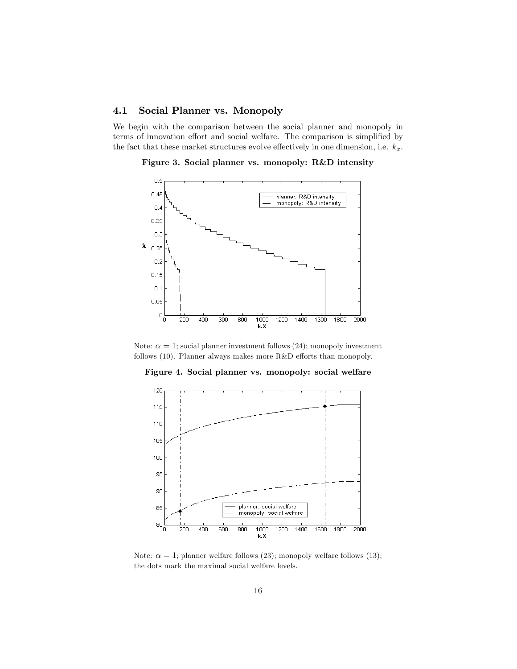## 4.1 Social Planner vs. Monopoly

We begin with the comparison between the social planner and monopoly in terms of innovation effort and social welfare. The comparison is simplified by the fact that these market structures evolve effectively in one dimension, i.e.  $k_x$ .

Figure 3. Social planner vs. monopoly: R&D intensity



Note:  $\alpha = 1$ ; social planner investment follows (24); monopoly investment follows  $(10)$ . Planner always makes more R&D efforts than monopoly.

Figure 4. Social planner vs. monopoly: social welfare



Note:  $\alpha = 1$ ; planner welfare follows (23); monopoly welfare follows (13); the dots mark the maximal social welfare levels.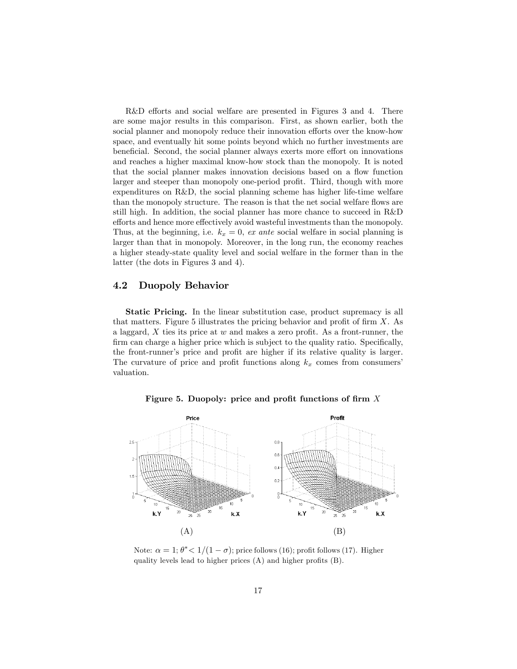R&D efforts and social welfare are presented in Figures 3 and 4. There are some major results in this comparison. First, as shown earlier, both the social planner and monopoly reduce their innovation efforts over the know-how space, and eventually hit some points beyond which no further investments are beneficial. Second, the social planner always exerts more effort on innovations and reaches a higher maximal know-how stock than the monopoly. It is noted that the social planner makes innovation decisions based on a flow function larger and steeper than monopoly one-period profit. Third, though with more expenditures on R&D, the social planning scheme has higher life-time welfare than the monopoly structure. The reason is that the net social welfare flows are still high. In addition, the social planner has more chance to succeed in R&D efforts and hence more effectively avoid wasteful investments than the monopoly. Thus, at the beginning, i.e.  $k_x = 0$ , ex ante social welfare in social planning is larger than that in monopoly. Moreover, in the long run, the economy reaches a higher steady-state quality level and social welfare in the former than in the latter (the dots in Figures 3 and 4).

#### 4.2 Duopoly Behavior

Static Pricing. In the linear substitution case, product supremacy is all that matters. Figure 5 illustrates the pricing behavior and profit of firm  $X$ . As a laggard,  $X$  ties its price at  $w$  and makes a zero profit. As a front-runner, the firm can charge a higher price which is subject to the quality ratio. Specifically, the front-runner's price and profit are higher if its relative quality is larger. The curvature of price and profit functions along  $k_x$  comes from consumers valuation.

Figure 5. Duopoly: price and profit functions of firm  $X$ 



Note:  $\alpha = 1$ ;  $\theta^* < 1/(1 - \sigma)$ ; price follows (16); profit follows (17). Higher quality levels lead to higher prices  $(A)$  and higher profits  $(B)$ .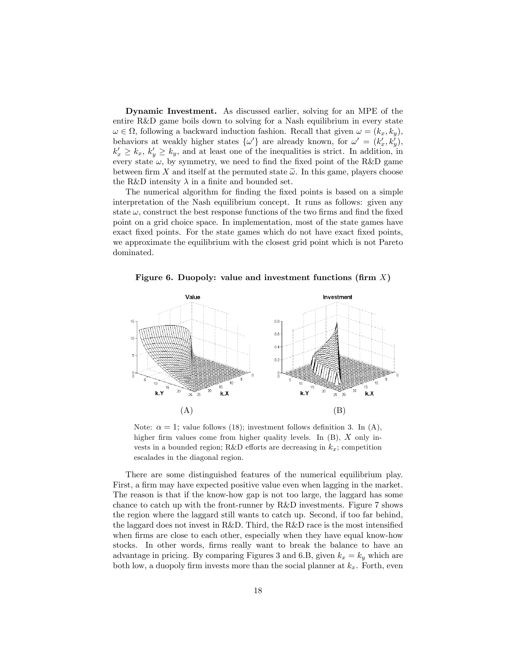Dynamic Investment. As discussed earlier, solving for an MPE of the entire R&D game boils down to solving for a Nash equilibrium in every state  $\omega \in \Omega$ , following a backward induction fashion. Recall that given  $\omega = (k_x, k_y)$ , behaviors at weakly higher states  $\{\omega'\}$  are already known, for  $\omega' = (k'_x, k'_y)$ ,  $k'_x \geq k_x, k'_y \geq k_y$ , and at least one of the inequalities is strict. In addition, in every state  $\omega$ , by symmetry, we need to find the fixed point of the R&D game between firm X and itself at the permuted state  $\tilde{\omega}$ . In this game, players choose the R&D intensity  $\lambda$  in a finite and bounded set.

The numerical algorithm for finding the fixed points is based on a simple interpretation of the Nash equilibrium concept. It runs as follows: given any state  $\omega$ , construct the best response functions of the two firms and find the fixed point on a grid choice space. In implementation, most of the state games have exact fixed points. For the state games which do not have exact fixed points, we approximate the equilibrium with the closest grid point which is not Pareto dominated.

Figure 6. Duopoly: value and investment functions (firm  $X$ )



Note:  $\alpha = 1$ ; value follows (18); investment follows definition 3. In (A), higher firm values come from higher quality levels. In  $(B)$ , X only invests in a bounded region; R&D efforts are decreasing in  $k_x$ ; competition escalades in the diagonal region.

There are some distinguished features of the numerical equilibrium play. First, a firm may have expected positive value even when lagging in the market. The reason is that if the know-how gap is not too large, the laggard has some chance to catch up with the front-runner by R&D investments. Figure 7 shows the region where the laggard still wants to catch up. Second, if too far behind, the laggard does not invest in R&D. Third, the R&D race is the most intensified when firms are close to each other, especially when they have equal know-how stocks. In other words, firms really want to break the balance to have an advantage in pricing. By comparing Figures 3 and 6.B, given  $k_x = k_y$  which are both low, a duopoly firm invests more than the social planner at  $k_x$ . Forth, even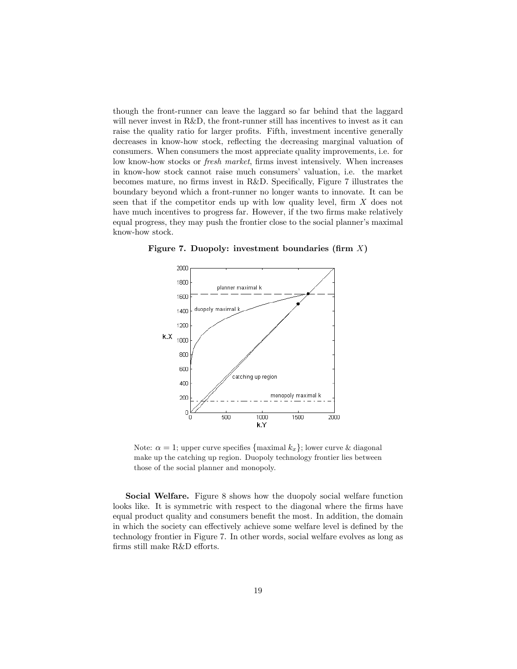though the front-runner can leave the laggard so far behind that the laggard will never invest in R&D, the front-runner still has incentives to invest as it can raise the quality ratio for larger profits. Fifth, investment incentive generally decreases in know-how stock, reflecting the decreasing marginal valuation of consumers. When consumers the most appreciate quality improvements, i.e. for low know-how stocks or *fresh market*, firms invest intensively. When increases in know-how stock cannot raise much consumers' valuation, i.e. the market becomes mature, no firms invest in R&D. Specifically, Figure 7 illustrates the boundary beyond which a front-runner no longer wants to innovate. It can be seen that if the competitor ends up with low quality level, firm  $X$  does not have much incentives to progress far. However, if the two firms make relatively equal progress, they may push the frontier close to the social planner's maximal know-how stock.



Figure 7. Duopoly: investment boundaries (firm  $X$ )

Note:  $\alpha = 1$ ; upper curve specifies {maximal  $k_x$ }; lower curve & diagonal make up the catching up region. Duopoly technology frontier lies between those of the social planner and monopoly.

Social Welfare. Figure 8 shows how the duopoly social welfare function looks like. It is symmetric with respect to the diagonal where the firms have equal product quality and consumers benefit the most. In addition, the domain in which the society can effectively achieve some welfare level is defined by the technology frontier in Figure 7. In other words, social welfare evolves as long as  $firms$  still make  $R&D$  efforts.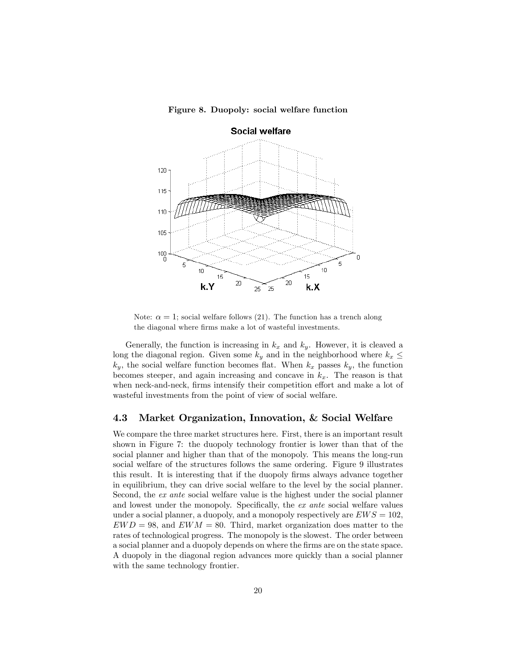Figure 8. Duopoly: social welfare function



Note:  $\alpha = 1$ ; social welfare follows (21). The function has a trench along the diagonal where firms make a lot of wasteful investments.

Generally, the function is increasing in  $k_x$  and  $k_y$ . However, it is cleaved a long the diagonal region. Given some  $k_y$  and in the neighborhood where  $k_x \leq$  $k_y$ , the social welfare function becomes flat. When  $k_x$  passes  $k_y$ , the function becomes steeper, and again increasing and concave in  $k_x$ . The reason is that when neck-and-neck, firms intensify their competition effort and make a lot of wasteful investments from the point of view of social welfare.

## 4.3 Market Organization, Innovation, & Social Welfare

We compare the three market structures here. First, there is an important result shown in Figure 7: the duopoly technology frontier is lower than that of the social planner and higher than that of the monopoly. This means the long-run social welfare of the structures follows the same ordering. Figure 9 illustrates this result. It is interesting that if the duopoly Örms always advance together in equilibrium, they can drive social welfare to the level by the social planner. Second, the ex ante social welfare value is the highest under the social planner and lowest under the monopoly. Specifically, the  $ex$  ante social welfare values under a social planner, a duopoly, and a monopoly respectively are  $EWS = 102$ ,  $EWD = 98$ , and  $EWM = 80$ . Third, market organization does matter to the rates of technological progress. The monopoly is the slowest. The order between a social planner and a duopoly depends on where the Örms are on the state space. A duopoly in the diagonal region advances more quickly than a social planner with the same technology frontier.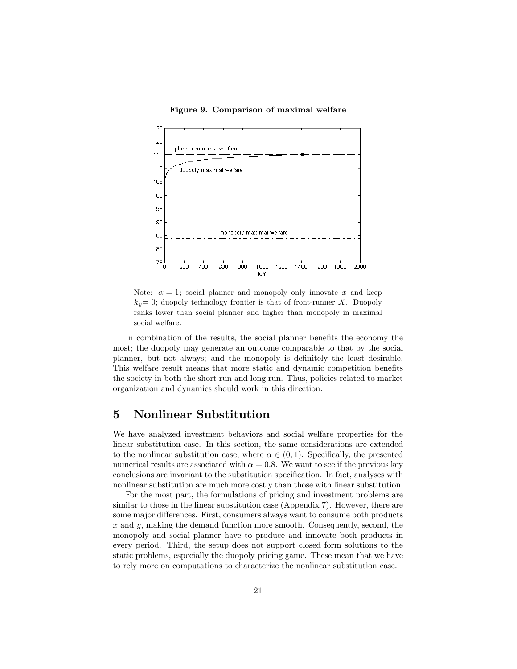#### Figure 9. Comparison of maximal welfare



Note:  $\alpha = 1$ ; social planner and monopoly only innovate x and keep  $k_y=0$ ; duopoly technology frontier is that of front-runner X. Duopoly ranks lower than social planner and higher than monopoly in maximal social welfare.

In combination of the results, the social planner benefits the economy the most; the duopoly may generate an outcome comparable to that by the social planner, but not always; and the monopoly is definitely the least desirable. This welfare result means that more static and dynamic competition benefits the society in both the short run and long run. Thus, policies related to market organization and dynamics should work in this direction.

# 5 Nonlinear Substitution

We have analyzed investment behaviors and social welfare properties for the linear substitution case. In this section, the same considerations are extended to the nonlinear substitution case, where  $\alpha \in (0, 1)$ . Specifically, the presented numerical results are associated with  $\alpha = 0.8$ . We want to see if the previous key conclusions are invariant to the substitution specification. In fact, analyses with nonlinear substitution are much more costly than those with linear substitution.

For the most part, the formulations of pricing and investment problems are similar to those in the linear substitution case (Appendix 7). However, there are some major differences. First, consumers always want to consume both products  $x$  and  $y$ , making the demand function more smooth. Consequently, second, the monopoly and social planner have to produce and innovate both products in every period. Third, the setup does not support closed form solutions to the static problems, especially the duopoly pricing game. These mean that we have to rely more on computations to characterize the nonlinear substitution case.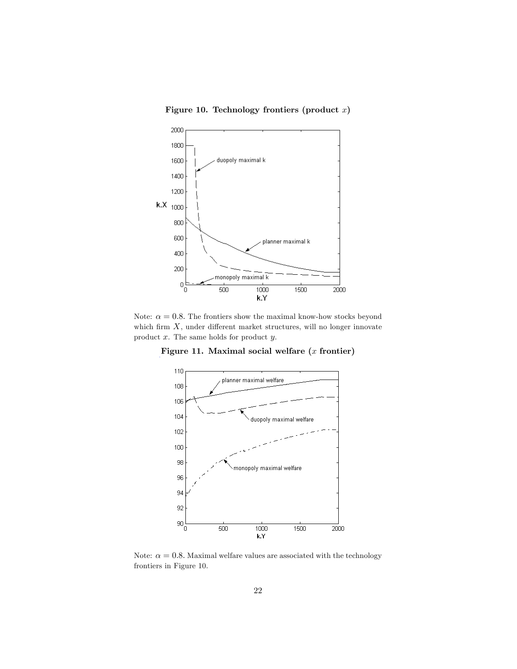## Figure 10. Technology frontiers (product  $x$ )



Note:  $\alpha = 0.8$ . The frontiers show the maximal know-how stocks beyond which firm  $X$ , under different market structures, will no longer innovate product x. The same holds for product y.

Figure 11. Maximal social welfare  $(x$  frontier)



Note:  $\alpha = 0.8$ . Maximal welfare values are associated with the technology frontiers in Figure 10.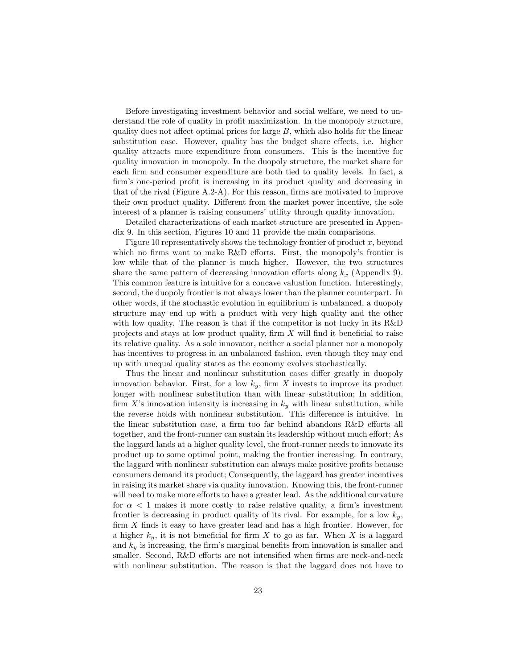Before investigating investment behavior and social welfare, we need to understand the role of quality in profit maximization. In the monopoly structure, quality does not affect optimal prices for large  $B$ , which also holds for the linear substitution case. However, quality has the budget share effects, i.e. higher quality attracts more expenditure from consumers. This is the incentive for quality innovation in monopoly. In the duopoly structure, the market share for each firm and consumer expenditure are both tied to quality levels. In fact, a firm's one-period profit is increasing in its product quality and decreasing in that of the rival (Figure A.2-A). For this reason, firms are motivated to improve their own product quality. Different from the market power incentive, the sole interest of a planner is raising consumers' utility through quality innovation.

Detailed characterizations of each market structure are presented in Appendix 9. In this section, Figures 10 and 11 provide the main comparisons.

Figure 10 representatively shows the technology frontier of product  $x$ , beyond which no firms want to make  $R&D$  efforts. First, the monopoly's frontier is low while that of the planner is much higher. However, the two structures share the same pattern of decreasing innovation efforts along  $k_x$  (Appendix 9). This common feature is intuitive for a concave valuation function. Interestingly, second, the duopoly frontier is not always lower than the planner counterpart. In other words, if the stochastic evolution in equilibrium is unbalanced, a duopoly structure may end up with a product with very high quality and the other with low quality. The reason is that if the competitor is not lucky in its R&D projects and stays at low product quality, firm  $X$  will find it beneficial to raise its relative quality. As a sole innovator, neither a social planner nor a monopoly has incentives to progress in an unbalanced fashion, even though they may end up with unequal quality states as the economy evolves stochastically.

Thus the linear and nonlinear substitution cases differ greatly in duopoly innovation behavior. First, for a low  $k_y$ , firm X invests to improve its product longer with nonlinear substitution than with linear substitution; In addition, firm X's innovation intensity is increasing in  $k_y$  with linear substitution, while the reverse holds with nonlinear substitution. This difference is intuitive. In the linear substitution case, a firm too far behind abandons R&D efforts all together, and the front-runner can sustain its leadership without much effort; As the laggard lands at a higher quality level, the front-runner needs to innovate its product up to some optimal point, making the frontier increasing. In contrary, the laggard with nonlinear substitution can always make positive profits because consumers demand its product; Consequently, the laggard has greater incentives in raising its market share via quality innovation. Knowing this, the front-runner will need to make more efforts to have a greater lead. As the additional curvature for  $\alpha$  < 1 makes it more costly to raise relative quality, a firm's investment frontier is decreasing in product quality of its rival. For example, for a low  $k_y$ , firm  $X$  finds it easy to have greater lead and has a high frontier. However, for a higher  $k_y$ , it is not beneficial for firm X to go as far. When X is a laggard and  $k_y$  is increasing, the firm's marginal benefits from innovation is smaller and smaller. Second,  $R&D$  efforts are not intensified when firms are neck-and-neck with nonlinear substitution. The reason is that the laggard does not have to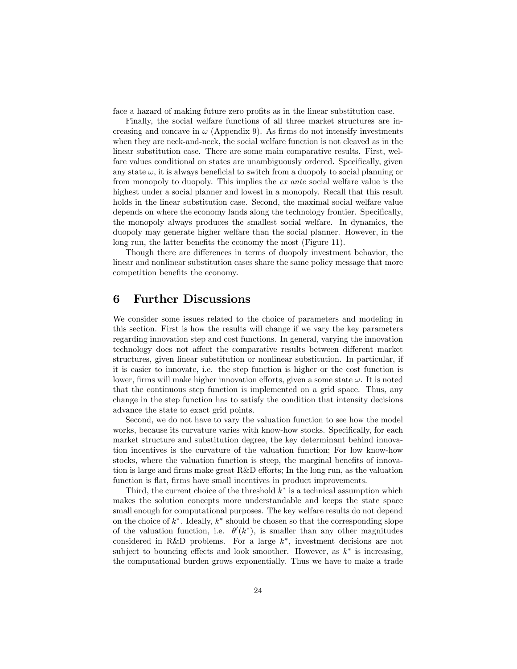face a hazard of making future zero profits as in the linear substitution case.

Finally, the social welfare functions of all three market structures are increasing and concave in  $\omega$  (Appendix 9). As firms do not intensify investments when they are neck-and-neck, the social welfare function is not cleaved as in the linear substitution case. There are some main comparative results. First, welfare values conditional on states are unambiguously ordered. Specifically, given any state  $\omega$ , it is always beneficial to switch from a duopoly to social planning or from monopoly to duopoly. This implies the ex ante social welfare value is the highest under a social planner and lowest in a monopoly. Recall that this result holds in the linear substitution case. Second, the maximal social welfare value depends on where the economy lands along the technology frontier. Specifically, the monopoly always produces the smallest social welfare. In dynamics, the duopoly may generate higher welfare than the social planner. However, in the long run, the latter benefits the economy the most (Figure 11).

Though there are differences in terms of duopoly investment behavior, the linear and nonlinear substitution cases share the same policy message that more competition benefits the economy.

# 6 Further Discussions

We consider some issues related to the choice of parameters and modeling in this section. First is how the results will change if we vary the key parameters regarding innovation step and cost functions. In general, varying the innovation technology does not affect the comparative results between different market structures, given linear substitution or nonlinear substitution. In particular, if it is easier to innovate, i.e. the step function is higher or the cost function is lower, firms will make higher innovation efforts, given a some state  $\omega$ . It is noted that the continuous step function is implemented on a grid space. Thus, any change in the step function has to satisfy the condition that intensity decisions advance the state to exact grid points.

Second, we do not have to vary the valuation function to see how the model works, because its curvature varies with know-how stocks. Specifically, for each market structure and substitution degree, the key determinant behind innovation incentives is the curvature of the valuation function; For low know-how stocks, where the valuation function is steep, the marginal benefits of innovation is large and firms make great R&D efforts; In the long run, as the valuation function is flat, firms have small incentives in product improvements.

Third, the current choice of the threshold  $k^*$  is a technical assumption which makes the solution concepts more understandable and keeps the state space small enough for computational purposes. The key welfare results do not depend on the choice of  $k^*$ . Ideally,  $k^*$  should be chosen so that the corresponding slope of the valuation function, i.e.  $\theta'(k^*)$ , is smaller than any other magnitudes considered in R&D problems. For a large  $k^*$ , investment decisions are not subject to bouncing effects and look smoother. However, as  $k^*$  is increasing, the computational burden grows exponentially. Thus we have to make a trade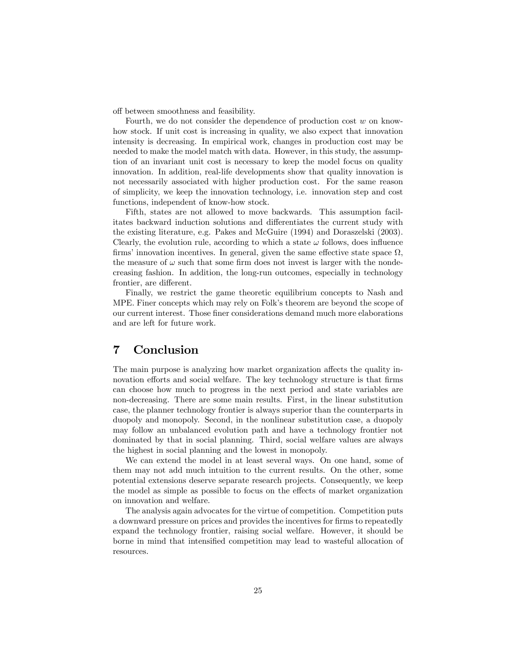off between smoothness and feasibility.

Fourth, we do not consider the dependence of production cost  $w$  on knowhow stock. If unit cost is increasing in quality, we also expect that innovation intensity is decreasing. In empirical work, changes in production cost may be needed to make the model match with data. However, in this study, the assumption of an invariant unit cost is necessary to keep the model focus on quality innovation. In addition, real-life developments show that quality innovation is not necessarily associated with higher production cost. For the same reason of simplicity, we keep the innovation technology, i.e. innovation step and cost functions, independent of know-how stock.

Fifth, states are not allowed to move backwards. This assumption facilitates backward induction solutions and differentiates the current study with the existing literature, e.g. Pakes and McGuire (1994) and Doraszelski (2003). Clearly, the evolution rule, according to which a state  $\omega$  follows, does influence firms' innovation incentives. In general, given the same effective state space  $\Omega$ , the measure of  $\omega$  such that some firm does not invest is larger with the nondecreasing fashion. In addition, the long-run outcomes, especially in technology frontier, are different.

Finally, we restrict the game theoretic equilibrium concepts to Nash and MPE. Finer concepts which may rely on Folk's theorem are beyond the scope of our current interest. Those finer considerations demand much more elaborations and are left for future work.

# 7 Conclusion

The main purpose is analyzing how market organization affects the quality innovation efforts and social welfare. The key technology structure is that firms can choose how much to progress in the next period and state variables are non-decreasing. There are some main results. First, in the linear substitution case, the planner technology frontier is always superior than the counterparts in duopoly and monopoly. Second, in the nonlinear substitution case, a duopoly may follow an unbalanced evolution path and have a technology frontier not dominated by that in social planning. Third, social welfare values are always the highest in social planning and the lowest in monopoly.

We can extend the model in at least several ways. On one hand, some of them may not add much intuition to the current results. On the other, some potential extensions deserve separate research projects. Consequently, we keep the model as simple as possible to focus on the effects of market organization on innovation and welfare.

The analysis again advocates for the virtue of competition. Competition puts a downward pressure on prices and provides the incentives for firms to repeatedly expand the technology frontier, raising social welfare. However, it should be borne in mind that intensified competition may lead to wasteful allocation of resources.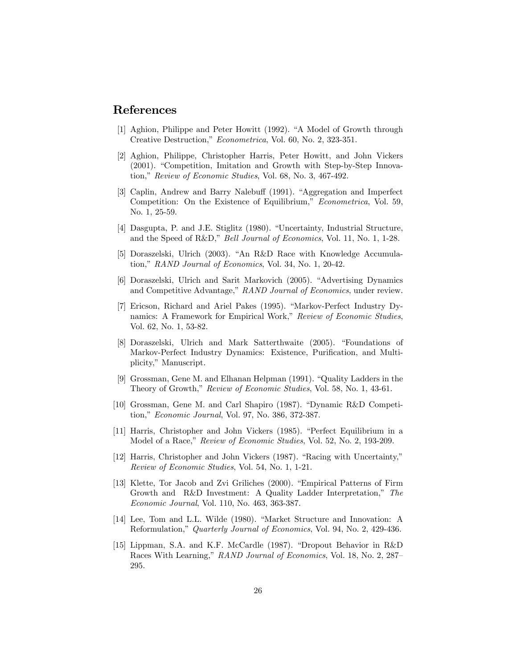# References

- [1] Aghion, Philippe and Peter Howitt (1992). "A Model of Growth through Creative Destruction," *Econometrica*, Vol. 60, No. 2, 323-351.
- [2] Aghion, Philippe, Christopher Harris, Peter Howitt, and John Vickers  $(2001)$ . "Competition, Imitation and Growth with Step-by-Step Innovation," Review of Economic Studies, Vol. 68, No. 3, 467-492.
- [3] Caplin, Andrew and Barry Nalebuff (1991). "Aggregation and Imperfect Competition: On the Existence of Equilibrium," Econometrica, Vol. 59, No. 1, 25-59.
- [4] Dasgupta, P. and J.E. Stiglitz (1980). "Uncertainty, Industrial Structure, and the Speed of R&D," Bell Journal of Economics, Vol. 11, No. 1, 1-28.
- [5] Doraszelski, Ulrich  $(2003)$ . "An R&D Race with Knowledge Accumulation," RAND Journal of Economics, Vol. 34, No. 1, 20-42.
- [6] Doraszelski, Ulrich and Sarit Markovich (2005). "Advertising Dynamics and Competitive Advantage," RAND Journal of Economics, under review.
- [7] Ericson, Richard and Ariel Pakes (1995). "Markov-Perfect Industry Dynamics: A Framework for Empirical Work," Review of Economic Studies, Vol. 62, No. 1, 53-82.
- [8] Doraszelski, Ulrich and Mark Satterthwaite (2005). "Foundations of Markov-Perfect Industry Dynamics: Existence, Purification, and Multiplicity," Manuscript.
- [9] Grossman, Gene M. and Elhanan Helpman  $(1991)$ . "Quality Ladders in the Theory of Growth," Review of Economic Studies, Vol. 58, No. 1, 43-61.
- [10] Grossman, Gene M. and Carl Shapiro (1987). "Dynamic R&D Competition," Economic Journal, Vol. 97, No. 386, 372-387.
- [11] Harris, Christopher and John Vickers (1985). "Perfect Equilibrium in a Model of a Race," Review of Economic Studies, Vol. 52, No. 2, 193-209.
- $[12]$  Harris, Christopher and John Vickers (1987). "Racing with Uncertainty," Review of Economic Studies, Vol. 54, No. 1, 1-21.
- [13] Klette, Tor Jacob and Zvi Griliches (2000). "Empirical Patterns of Firm Growth and R&D Investment: A Quality Ladder Interpretation," The Economic Journal, Vol. 110, No. 463, 363-387.
- [14] Lee, Tom and L.L. Wilde (1980). "Market Structure and Innovation: A Reformulation," Quarterly Journal of Economics, Vol. 94, No. 2, 429-436.
- [15] Lippman, S.A. and K.F. McCardle (1987). "Dropout Behavior in  $R&D$ Races With Learning," RAND Journal of Economics, Vol. 18, No. 2, 287– 295.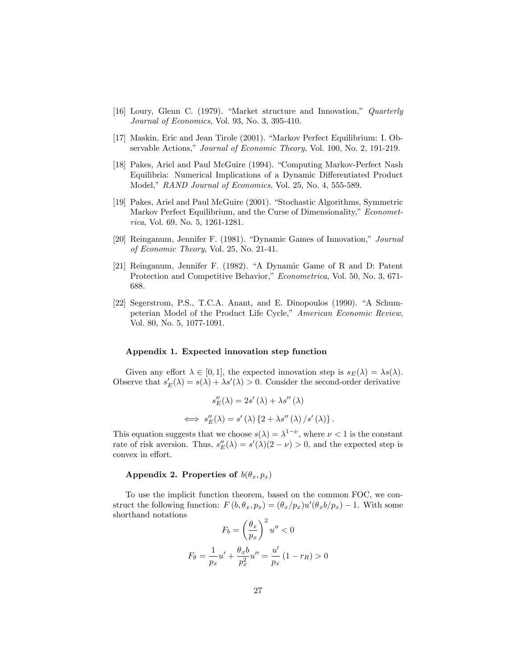- [16] Loury, Glenn C. (1979). "Market structure and Innovation," Quarterly Journal of Economics, Vol. 93, No. 3, 395-410.
- [17] Maskin, Eric and Jean Tirole (2001). "Markov Perfect Equilibrium: I. Observable Actions," Journal of Economic Theory, Vol. 100, No. 2, 191-219.
- [18] Pakes, Ariel and Paul McGuire (1994). "Computing Markov-Perfect Nash Equilibria: Numerical Implications of a Dynamic Differentiated Product Model,î RAND Journal of Economics, Vol. 25, No. 4, 555-589.
- [19] Pakes, Ariel and Paul McGuire (2001). "Stochastic Algorithms, Symmetric Markov Perfect Equilibrium, and the Curse of Dimensionality," Econometrica, Vol. 69, No. 5, 1261-1281.
- [20] Reinganum, Jennifer F. (1981). "Dynamic Games of Innovation," Journal of Economic Theory, Vol. 25, No. 21-41.
- [21] Reinganum, Jennifer F. (1982). "A Dynamic Game of R and D: Patent Protection and Competitive Behavior," Econometrica, Vol. 50, No. 3, 671-688.
- $[22]$  Segerstrom, P.S., T.C.A. Anant, and E. Dinopoulos  $(1990)$ . "A Schumpeterian Model of the Product Life Cycle," American Economic Review, Vol. 80, No. 5, 1077-1091.

#### Appendix 1. Expected innovation step function

Given any effort  $\lambda \in [0, 1]$ , the expected innovation step is  $s_E(\lambda) = \lambda s(\lambda)$ . Observe that  $s'_{E}(\lambda) = s(\lambda) + \lambda s'(\lambda) > 0$ . Consider the second-order derivative

$$
s''_E(\lambda) = 2s'(\lambda) + \lambda s''(\lambda)
$$
  

$$
\iff s''_E(\lambda) = s'(\lambda) \{2 + \lambda s''(\lambda) / s'(\lambda)\}.
$$

This equation suggests that we choose  $s(\lambda) = \lambda^{1-\nu}$ , where  $\nu < 1$  is the constant rate of risk aversion. Thus,  $s''_E(\lambda) = s'(\lambda)(2 - \nu) > 0$ , and the expected step is convex in effort.

#### Appendix 2. Properties of  $b(\theta_x, p_x)$

To use the implicit function theorem, based on the common FOC, we construct the following function:  $F(b, \theta_x, p_x) = (\theta_x/p_x)u'(\theta_x b/p_x) - 1$ . With some shorthand notations

$$
F_b = \left(\frac{\theta_x}{p_x}\right)^2 u'' < 0
$$
\n
$$
F_\theta = \frac{1}{p_x} u' + \frac{\theta_x b}{p_x^2} u'' = \frac{u'}{p_x} \left(1 - r_R\right) > 0
$$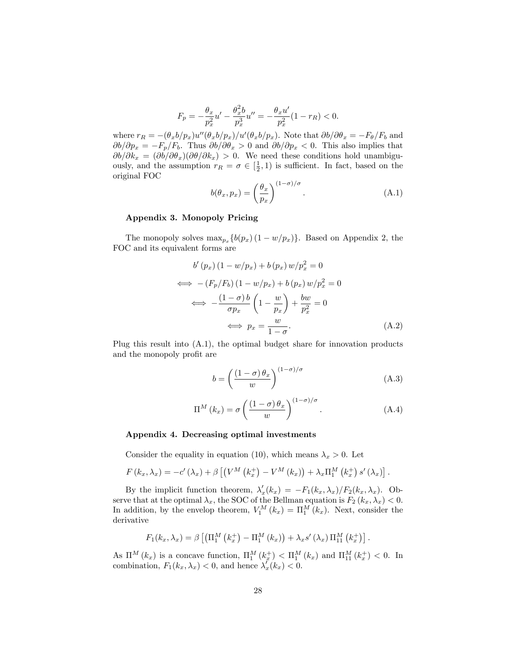$$
F_p = -\frac{\theta_x}{p_x^2}u' - \frac{\theta_x^2 b}{p_x^3}u'' = -\frac{\theta_x u'}{p_x^2}(1 - r_R) < 0.
$$

where  $r_R = -(\theta_x b/p_x) u''(\theta_x b/p_x)/u'(\theta_x b/p_x)$ . Note that  $\partial b/\partial \theta_x = -F_{\theta}/F_b$  and  $\partial b/\partial p_x = -F_p/F_b$ . Thus  $\partial b/\partial \theta_x > 0$  and  $\partial b/\partial p_x < 0$ . This also implies that  $\partial b/\partial k_x = (\partial b/\partial \theta_x)(\partial \theta/\partial k_x) > 0$ . We need these conditions hold unambiguously, and the assumption  $r_R = \sigma \in [\frac{1}{2}, 1)$  is sufficient. In fact, based on the original FOC

$$
b(\theta_x, p_x) = \left(\frac{\theta_x}{p_x}\right)^{(1-\sigma)/\sigma}.
$$
 (A.1)

#### Appendix 3. Monopoly Pricing

The monopoly solves  $\max_{p_x} \{b(p_x) (1 - w/p_x)\}\.$  Based on Appendix 2, the FOC and its equivalent forms are

$$
b'(p_x) (1 - w/p_x) + b(p_x) w/p_x^2 = 0
$$
  
\n
$$
\iff -(F_p/F_b) (1 - w/p_x) + b(p_x) w/p_x^2 = 0
$$
  
\n
$$
\iff -\frac{(1 - \sigma)b}{\sigma p_x} \left(1 - \frac{w}{p_x}\right) + \frac{bw}{p_x^2} = 0
$$
  
\n
$$
\iff p_x = \frac{w}{1 - \sigma}.
$$
\n(A.2)

Plug this result into (A.1), the optimal budget share for innovation products and the monopoly profit are

$$
b = \left(\frac{(1-\sigma)\theta_x}{w}\right)^{(1-\sigma)/\sigma} \tag{A.3}
$$

$$
\Pi^{M}(k_{x}) = \sigma \left(\frac{(1-\sigma)\theta_{x}}{w}\right)^{(1-\sigma)/\sigma}.
$$
\n(A.4)

#### Appendix 4. Decreasing optimal investments

Consider the equality in equation (10), which means  $\lambda_x > 0$ . Let

$$
F(k_x, \lambda_x) = -c'(\lambda_x) + \beta \left[ \left( V^M(k_x^+) - V^M(k_x) \right) + \lambda_x \Pi_1^M(k_x^+) s'(\lambda_x) \right].
$$

By the implicit function theorem,  $\lambda'_x(k_x) = -F_1(k_x, \lambda_x)/F_2(k_x, \lambda_x)$ . Observe that at the optimal  $\lambda_x$ , the SOC of the Bellman equation is  $F_2 (k_x, \lambda_x) < 0$ . In addition, by the envelop theorem,  $V_1^M(k_x) = \Pi_1^M(k_x)$ . Next, consider the derivative

$$
F_1(k_x, \lambda_x) = \beta \left[ \left( \Pi_1^M \left( k_x^+ \right) - \Pi_1^M \left( k_x \right) \right) + \lambda_x s' \left( \lambda_x \right) \Pi_{11}^M \left( k_x^+ \right) \right].
$$

As  $\Pi^M(k_x)$  is a concave function,  $\Pi_1^M(k_x^+) < \Pi_1^M(k_x)$  and  $\Pi_{11}^M(k_x^+) < 0$ . In combination,  $F_1(k_x, \lambda_x) < 0$ , and hence  $\lambda'_x(k_x) < 0$ .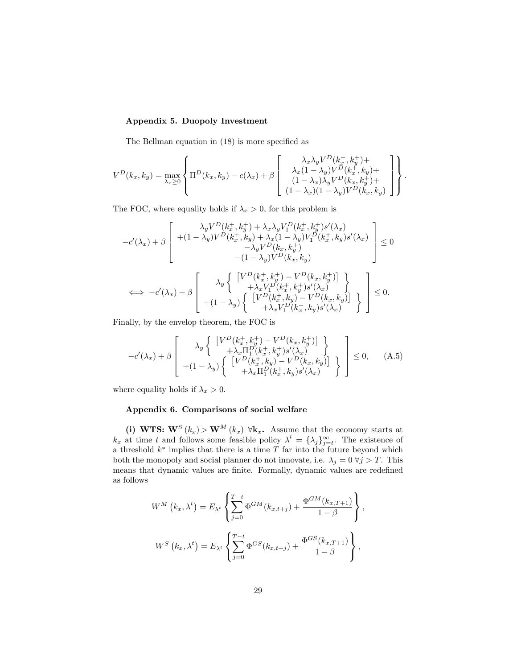#### Appendix 5. Duopoly Investment

The Bellman equation in  $(18)$  is more specified as

$$
V^D(k_x, k_y) = \max_{\lambda_x \ge 0} \left\{ \Pi^D(k_x, k_y) - c(\lambda_x) + \beta \begin{bmatrix} \lambda_x \lambda_y V^D(k_x^+, k_y^+) + \\ \lambda_x (1 - \lambda_y) V^D(k_x^+, k_y) + \\ (1 - \lambda_x) \lambda_y V^D(k_x, k_y^+) + \\ (1 - \lambda_x) (1 - \lambda_y) V^D(k_x, k_y) \end{bmatrix} \right\}.
$$

The FOC, where equality holds if  $\lambda_x > 0$ , for this problem is

$$
-c'(\lambda_x) + \beta \begin{bmatrix} \lambda_y V^D(k_x^+, k_y^+) + \lambda_x \lambda_y V_1^D(k_x^+, k_y^+) s'(\lambda_x) \\ + (1 - \lambda_y) V^D(k_x^+, k_y) + \lambda_x (1 - \lambda_y) V_1^D(k_x^+, k_y) s'(\lambda_x) \\ - \lambda_y V^D(k_x, k_y^+) \\ - (1 - \lambda_y) V^D(k_x, k_y) \end{bmatrix} \leq 0
$$
  
\n
$$
\iff -c'(\lambda_x) + \beta \begin{bmatrix} \lambda_y \begin{Bmatrix} \left[ V^D(k_x^+, k_y^+) - V^D(k_x, k_y^+) \right] \\ + \lambda_x V_1^D(k_x^+, k_y^+) s'(\lambda_x) \\ + \lambda_x V_1^D(k_x^+, k_y) - V^D(k_x, k_y) \end{Bmatrix} \\ + (1 - \lambda_y) \begin{Bmatrix} \left[ V^D(k_x^+, k_y) - V^D(k_x, k_y) \right] \\ + \lambda_x V_1^D(k_x^+, k_y) s'(\lambda_x) \end{Bmatrix} \end{bmatrix} \leq 0.
$$

Finally, by the envelop theorem, the FOC is

$$
-c'(\lambda_x) + \beta \left[ \begin{array}{c} \lambda_y \left\{ \begin{array}{c} \left[ V^D(k_x^+,k_y^+) - V^D(k_x,k_y^+) \right] \\ + \lambda_x \Pi_1^D(k_x^+,k_y^+) s'(\lambda_x) \\ + (1 - \lambda_y) \left\{ \begin{array}{c} \left[ V^D(k_x^+,k_y) - V^D(k_x,k_y) \right] \\ + \lambda_x \Pi_1^D(k_x^+,k_y) s'(\lambda_x) \end{array} \right\} \end{array} \right\} \le 0, \quad \text{(A.5)}
$$

where equality holds if  $\lambda_x > 0$ .

#### Appendix 6. Comparisons of social welfare

(i) WTS:  $\mathbf{W}^{S}(k_x) > \mathbf{W}^{M}(k_x) \ \forall \mathbf{k}_x$ . Assume that the economy starts at  $k_x$  at time t and follows some feasible policy  $\lambda^t = {\lambda_j}_{j=t}^{\infty}$ . The existence of a threshold  $k^*$  implies that there is a time T far into the future beyond which both the monopoly and social planner do not innovate, i.e.  $\lambda_j = 0 \forall j > T$ . This means that dynamic values are finite. Formally, dynamic values are redefined as follows

$$
W^{M}(k_{x},\lambda^{t}) = E_{\lambda^{t}}\left\{\sum_{j=0}^{T-t} \Phi^{GM}(k_{x,t+j}) + \frac{\Phi^{GM}(k_{x,T+1})}{1-\beta}\right\},
$$
  

$$
W^{S}(k_{x},\lambda^{t}) = E_{\lambda^{t}}\left\{\sum_{j=0}^{T-t} \Phi^{GS}(k_{x,t+j}) + \frac{\Phi^{GS}(k_{x,T+1})}{1-\beta}\right\},
$$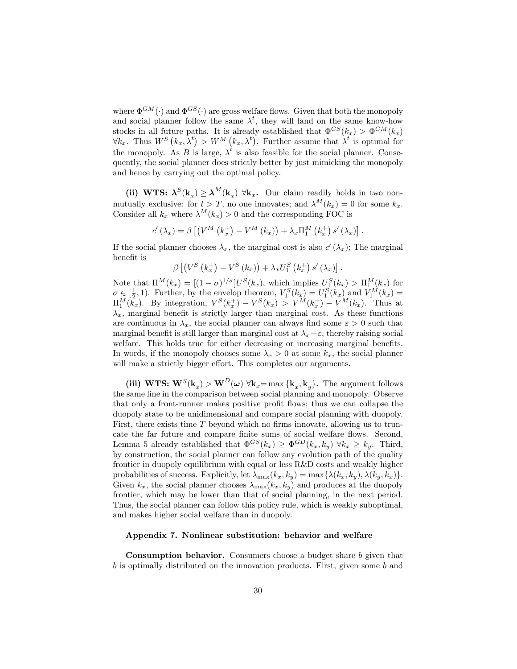where  $\Phi^{GM}(\cdot)$  and  $\Phi^{GS}(\cdot)$  are gross welfare flows. Given that both the monopoly and social planner follow the same  $\lambda^t$ , they will land on the same know-how stocks in all future paths. It is already established that  $\Phi^{GS}(k_x) > \Phi^{GM}(k_x)$  $\forall k_x$ . Thus  $W^S(k_x, \lambda^t) > W^M(k_x, \lambda^t)$ . Further assume that  $\lambda^t$  is optimal for the monopoly. As B is large,  $\lambda^t$  is also feasible for the social planner. Consequently, the social planner does strictly better by just mimicking the monopoly and hence by carrying out the optimal policy.

(ii) WTS:  $\lambda^{S}(k_x) \geq \lambda^{M}(k_x)$   $\forall k_x$ . Our claim readily holds in two nonmutually exclusive: for  $t > T$ , no one innovates; and  $\lambda^M(k_x) = 0$  for some  $k_x$ . Consider all  $k_x$  where  $\lambda^M(k_x) > 0$  and the corresponding FOC is

$$
c'(\lambda_x) = \beta \left[ \left( V^M \left( k_x^+ \right) - V^M \left( k_x \right) \right) + \lambda_x \Pi_1^M \left( k_x^+ \right) s' \left( \lambda_x \right) \right].
$$

If the social planner chooses  $\lambda_x$ , the marginal cost is also  $c'(\lambda_x)$ ; The marginal benefit is

$$
\beta \left[ \left( V^S \left( k_x^+ \right) - V^S \left( k_x \right) \right) + \lambda_x U_1^S \left( k_x^+ \right) s' \left( \lambda_x \right) \right].
$$

Note that  $\Pi^M(k_x) = [(1-\sigma)^{1/\sigma}]U^S(k_x)$ , which implies  $U_1^S(k_x) > \Pi_1^M(k_x)$  for  $\sigma \in \left[\frac{1}{2}, 1\right)$ . Further, by the envelop theorem,  $V_1^S(k_x) = U_1^S(k_x)$  and  $V_1^M(k_x) =$  $\Pi_1^M(\bar{k_x})$ . By integration,  $V^S(k_x^+) - V^S(k_x) > V^M(k_x^+) - V^M(k_x)$ . Thus at  $\lambda_x$ , marginal benefit is strictly larger than marginal cost. As these functions are continuous in  $\lambda_x$ , the social planner can always find some  $\varepsilon > 0$  such that marginal benefit is still larger than marginal cost at  $\lambda_x + \varepsilon$ , thereby raising social welfare. This holds true for either decreasing or increasing marginal benefits. In words, if the monopoly chooses some  $\lambda_x > 0$  at some  $k_x$ , the social planner will make a strictly bigger effort. This completes our arguments.

(iii) WTS:  $\mathbf{W}^{S}(\mathbf{k}_{x}) > \mathbf{W}^{D}(\boldsymbol{\omega}) \ \forall \mathbf{k}_{x} = \max\{\mathbf{k}_{x}, \mathbf{k}_{y}\}.$  The argument follows the same line in the comparison between social planning and monopoly. Observe that only a front-runner makes positive profit flows; thus we can collapse the duopoly state to be unidimensional and compare social planning with duopoly. First, there exists time  $T$  beyond which no firms innovate, allowing us to truncate the far future and compare finite sums of social welfare flows. Second, Lemma 5 already established that  $\Phi^{GS}(k_x) \geq \Phi^{GD}(k_x, k_y) \ \forall k_x \geq k_y$ . Third, by construction, the social planner can follow any evolution path of the quality frontier in duopoly equilibrium with equal or less R&D costs and weakly higher probabilities of success. Explicitly, let  $\lambda_{\max}(k_x, k_y) = \max\{\lambda(k_x, k_y), \lambda(k_y, k_x)\}.$ Given  $k_x$ , the social planner chooses  $\lambda_{\text{max}}(k_x, k_y)$  and produces at the duopoly frontier, which may be lower than that of social planning, in the next period. Thus, the social planner can follow this policy rule, which is weakly suboptimal, and makes higher social welfare than in duopoly.

#### Appendix 7. Nonlinear substitution: behavior and welfare

Consumption behavior. Consumers choose a budget share b given that b is optimally distributed on the innovation products. First, given some b and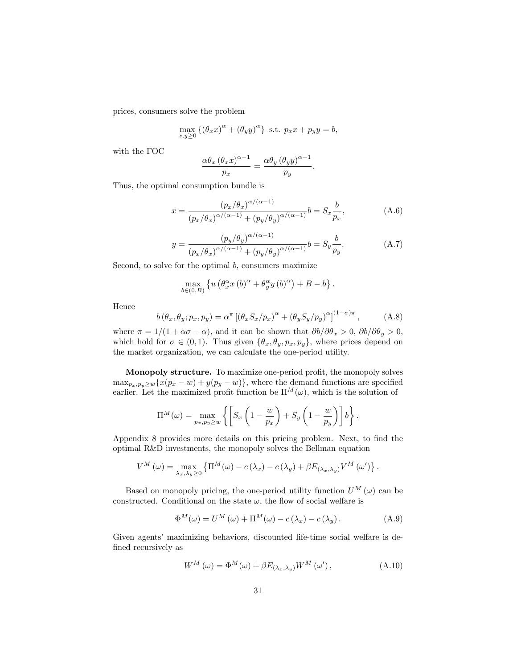prices, consumers solve the problem

$$
\max_{x,y\geq 0} \left\{ \left(\theta_x x\right)^{\alpha} + \left(\theta_y y\right)^{\alpha} \right\} \text{ s.t. } p_x x + p_y y = b,
$$

with the FOC

$$
\frac{\alpha \theta_x (\theta_x x)^{\alpha - 1}}{p_x} = \frac{\alpha \theta_y (\theta_y y)^{\alpha - 1}}{p_y}.
$$

Thus, the optimal consumption bundle is

$$
x = \frac{(p_x/\theta_x)^{\alpha/(\alpha-1)}}{(p_x/\theta_x)^{\alpha/(\alpha-1)} + (p_y/\theta_y)^{\alpha/(\alpha-1)}} b = S_x \frac{b}{p_x},
$$
 (A.6)

$$
y = \frac{\left(p_y/\theta_y\right)^{\alpha/(\alpha-1)}}{\left(p_x/\theta_x\right)^{\alpha/(\alpha-1)} + \left(p_y/\theta_y\right)^{\alpha/(\alpha-1)}} b = S_y \frac{b}{p_y}.\tag{A.7}
$$

Second, to solve for the optimal  $b$ , consumers maximize

$$
\max_{b\in(0,B)} \left\{ u \left( \theta_x^{\alpha} x \left( b \right)^{\alpha} + \theta_y^{\alpha} y \left( b \right)^{\alpha} \right) + B - b \right\}.
$$

Hence

$$
b(\theta_x, \theta_y; p_x, p_y) = \alpha^{\pi} \left[ (\theta_x S_x / p_x)^{\alpha} + (\theta_y S_y / p_y)^{\alpha} \right]^{(1-\sigma)\pi}, \tag{A.8}
$$

where  $\pi = 1/(1 + \alpha \sigma - \alpha)$ , and it can be shown that  $\partial b/\partial \theta_x > 0$ ,  $\partial b/\partial \theta_y > 0$ , which hold for  $\sigma \in (0, 1)$ . Thus given  $\{\theta_x, \theta_y, p_x, p_y\}$ , where prices depend on the market organization, we can calculate the one-period utility.

Monopoly structure. To maximize one-period profit, the monopoly solves  $\max_{p_x, p_y \geq w} \{x(p_x - w) + y(p_y - w)\}\$ , where the demand functions are specified earlier. Let the maximized profit function be  $\Pi^M(\omega)$ , which is the solution of

$$
\Pi^M(\omega) = \max_{p_x, p_y \ge w} \left\{ \left[ S_x \left( 1 - \frac{w}{p_x} \right) + S_y \left( 1 - \frac{w}{p_y} \right) \right] b \right\}.
$$

Appendix 8 provides more details on this pricing problem. Next, to find the optimal R&D investments, the monopoly solves the Bellman equation

$$
V^M(\omega) = \max_{\lambda_x, \lambda_y \ge 0} \left\{ \Pi^M(\omega) - c(\lambda_x) - c(\lambda_y) + \beta E_{(\lambda_x, \lambda_y)} V^M(\omega') \right\}.
$$

Based on monopoly pricing, the one-period utility function  $U^M(\omega)$  can be constructed. Conditional on the state  $\omega$ , the flow of social welfare is

$$
\Phi^{M}(\omega) = U^{M}(\omega) + \Pi^{M}(\omega) - c(\lambda_{x}) - c(\lambda_{y}). \qquad (A.9)
$$

Given agentsí maximizing behaviors, discounted life-time social welfare is defined recursively as

$$
W^{M}(\omega) = \Phi^{M}(\omega) + \beta E_{(\lambda_{x}, \lambda_{y})} W^{M}(\omega'), \qquad (A.10)
$$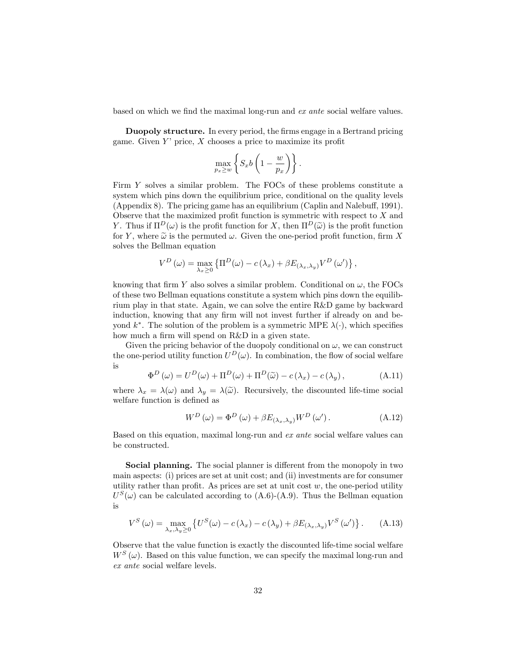based on which we find the maximal long-run and ex ante social welfare values.

Duopoly structure. In every period, the firms engage in a Bertrand pricing game. Given  $Y'$  price,  $X$  chooses a price to maximize its profit

$$
\max_{p_x \ge w} \left\{ S_x b \left( 1 - \frac{w}{p_x} \right) \right\}.
$$

Firm Y solves a similar problem. The FOCs of these problems constitute a system which pins down the equilibrium price, conditional on the quality levels (Appendix 8). The pricing game has an equilibrium (Caplin and Nalebuff, 1991). Observe that the maximized profit function is symmetric with respect to  $X$  and Y. Thus if  $\Pi^D(\omega)$  is the profit function for X, then  $\Pi^D(\widetilde{\omega})$  is the profit function for Y, where  $\tilde{\omega}$  is the permuted  $\omega$ . Given the one-period profit function, firm X solves the Bellman equation

$$
V^{D}(\omega) = \max_{\lambda_x \geq 0} \left\{ \Pi^{D}(\omega) - c(\lambda_x) + \beta E_{(\lambda_x, \lambda_y)} V^{D}(\omega') \right\},\,
$$

knowing that firm Y also solves a similar problem. Conditional on  $\omega$ , the FOCs of these two Bellman equations constitute a system which pins down the equilibrium play in that state. Again, we can solve the entire R&D game by backward induction, knowing that any firm will not invest further if already on and beyond  $k^*$ . The solution of the problem is a symmetric MPE  $\lambda(\cdot)$ , which specifies how much a firm will spend on R&D in a given state.

Given the pricing behavior of the duopoly conditional on  $\omega$ , we can construct the one-period utility function  $U^D(\omega)$ . In combination, the flow of social welfare is

$$
\Phi^{D}(\omega) = U^{D}(\omega) + \Pi^{D}(\omega) + \Pi^{D}(\widetilde{\omega}) - c(\lambda_{x}) - c(\lambda_{y}), \qquad (A.11)
$$

where  $\lambda_x = \lambda(\omega)$  and  $\lambda_y = \lambda(\widetilde{\omega})$ . Recursively, the discounted life-time social welfare function is defined as

$$
W^{D}(\omega) = \Phi^{D}(\omega) + \beta E_{(\lambda_{x}, \lambda_{y})} W^{D}(\omega'). \qquad (A.12)
$$

Based on this equation, maximal long-run and ex ante social welfare values can be constructed.

**Social planning.** The social planner is different from the monopoly in two main aspects: (i) prices are set at unit cost; and (ii) investments are for consumer utility rather than profit. As prices are set at unit cost  $w$ , the one-period utility  $U^{S}(\omega)$  can be calculated according to (A.6)-(A.9). Thus the Bellman equation is

$$
V^{S}(\omega) = \max_{\lambda_x, \lambda_y \ge 0} \left\{ U^{S}(\omega) - c(\lambda_x) - c(\lambda_y) + \beta E_{(\lambda_x, \lambda_y)} V^{S}(\omega') \right\}.
$$
 (A.13)

Observe that the value function is exactly the discounted life-time social welfare  $W<sup>S</sup>(\omega)$ . Based on this value function, we can specify the maximal long-run and ex ante social welfare levels.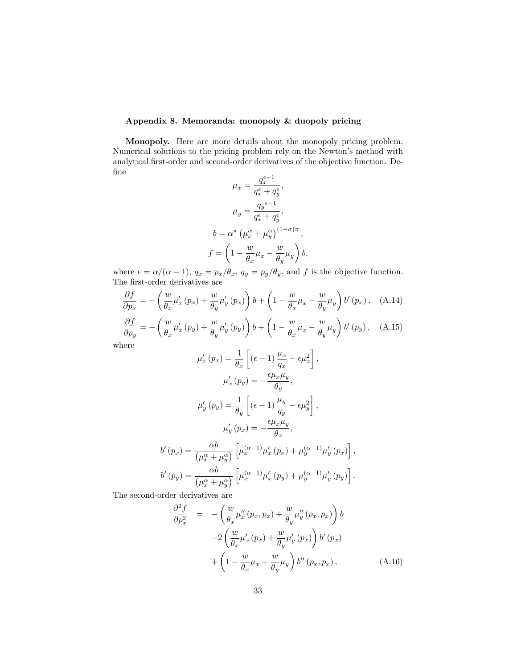## Appendix 8. Memoranda: monopoly & duopoly pricing

Monopoly. Here are more details about the monopoly pricing problem. Numerical solutions to the pricing problem rely on the Newton's method with analytical first-order and second-order derivatives of the objective function. De-Öne

$$
\mu_x = \frac{q_x^{\epsilon - 1}}{q_x^{\epsilon} + q_y^{\epsilon}},
$$

$$
\mu_y = \frac{q_y^{\epsilon - 1}}{q_x^{\epsilon} + q_y^{\epsilon}},
$$

$$
b = \alpha^{\pi} \left(\mu_x^{\alpha} + \mu_y^{\alpha}\right)^{(1 - \sigma)\pi},
$$

$$
f = \left(1 - \frac{w}{\theta_x}\mu_x - \frac{w}{\theta_y}\mu_y\right)b,
$$

where  $\epsilon = \alpha/(\alpha - 1)$ ,  $q_x = p_x/\theta_x$ ,  $q_y = p_y/\theta_y$ , and f is the objective function. The first-order derivatives are

$$
\frac{\partial f}{\partial p_x} = -\left(\frac{w}{\theta_x}\mu'_x(p_x) + \frac{w}{\theta_y}\mu'_y(p_x)\right)b + \left(1 - \frac{w}{\theta_x}\mu_x - \frac{w}{\theta_y}\mu_y\right)b'(p_x), \quad \text{(A.14)}
$$
\n
$$
\frac{\partial f}{\partial p_y} = -\left(\frac{w}{\theta_x}\mu'_x(p_y) + \frac{w}{\theta_y}\mu'_y(p_y)\right)b + \left(1 - \frac{w}{\theta_x}\mu_x - \frac{w}{\theta_y}\mu_y\right)b'(p_y), \quad \text{(A.15)}
$$
\nhere

wh

$$
\mu'_{x}(p_{x}) = \frac{1}{\theta_{x}} \left[ (\epsilon - 1) \frac{\mu_{x}}{q_{x}} - \epsilon \mu_{x}^{2} \right],
$$

$$
\mu'_{x}(p_{y}) = -\frac{\epsilon \mu_{x} \mu_{y}}{\theta_{y}},
$$

$$
\mu'_{y}(p_{y}) = \frac{1}{\theta_{y}} \left[ (\epsilon - 1) \frac{\mu_{y}}{q_{y}} - \epsilon \mu_{y}^{2} \right],
$$

$$
\mu'_{y}(p_{x}) = -\frac{\epsilon \mu_{x} \mu_{y}}{\theta_{x}},
$$

$$
b'(p_{x}) = \frac{\alpha b}{(\mu_{x}^{\alpha} + \mu_{y}^{\alpha})} \left[ \mu_{x}^{(\alpha - 1)} \mu'_{x}(p_{x}) + \mu_{y}^{(\alpha - 1)} \mu'_{y}(p_{x}) \right],
$$

$$
b'(p_{y}) = \frac{\alpha b}{(\mu_{x}^{\alpha} + \mu_{y}^{\alpha})} \left[ \mu_{x}^{(\alpha - 1)} \mu'_{x}(p_{y}) + \mu_{y}^{(\alpha - 1)} \mu'_{y}(p_{y}) \right].
$$

The second-order derivatives are

$$
\frac{\partial^2 f}{\partial p_x^2} = -\left(\frac{w}{\theta_x} \mu''_x(p_x, p_x) + \frac{w}{\theta_y} \mu''_y(p_x, p_x)\right) b \n-2\left(\frac{w}{\theta_x} \mu'_x(p_x) + \frac{w}{\theta_y} \mu'_y(p_x)\right) b'(p_x) \n+ \left(1 - \frac{w}{\theta_x} \mu_x - \frac{w}{\theta_y} \mu_y\right) b''(p_x, p_x),
$$
\n(A.16)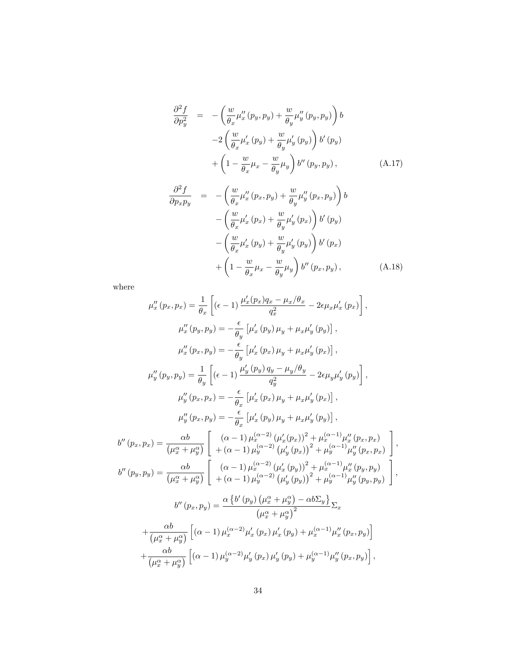$$
\frac{\partial^2 f}{\partial p_y^2} = -\left(\frac{w}{\theta_x} \mu''_x(p_y, p_y) + \frac{w}{\theta_y} \mu''_y(p_y, p_y)\right) b \n-2\left(\frac{w}{\theta_x} \mu'_x(p_y) + \frac{w}{\theta_y} \mu'_y(p_y)\right) b'(p_y) \n+ \left(1 - \frac{w}{\theta_x} \mu_x - \frac{w}{\theta_y} \mu_y\right) b''(p_y, p_y),
$$
\n(A.17)

$$
\frac{\partial^2 f}{\partial p_x p_y} = -\left(\frac{w}{\theta_x} \mu''_x(p_x, p_y) + \frac{w}{\theta_y} \mu''_y(p_x, p_y)\right) b \n- \left(\frac{w}{\theta_x} \mu'_x(p_x) + \frac{w}{\theta_y} \mu'_y(p_x)\right) b'(p_y) \n- \left(\frac{w}{\theta_x} \mu'_x(p_y) + \frac{w}{\theta_y} \mu'_y(p_y)\right) b'(p_x) \n+ \left(1 - \frac{w}{\theta_x} \mu_x - \frac{w}{\theta_y} \mu_y\right) b''(p_x, p_y),
$$
\n(A.18)

where

$$
\mu''_{x}(p_{x}, p_{x}) = \frac{1}{\theta_{x}} \left[ (\epsilon - 1) \frac{\mu'_{x}(p_{x})q_{x} - \mu_{x}/\theta_{x}}{q_{x}^{2}} - 2\epsilon \mu_{x}\mu'_{x}(p_{x}) \right],
$$
  
\n
$$
\mu''_{x}(p_{y}, p_{y}) = -\frac{\epsilon}{\theta_{y}} \left[ \mu'_{x}(p_{y}) \mu_{y} + \mu_{x}\mu'_{y}(p_{y}) \right],
$$
  
\n
$$
\mu''_{y}(p_{x}, p_{y}) = -\frac{\epsilon}{\theta_{y}} \left[ \mu'_{x}(p_{x}) \mu_{y} + \mu_{x}\mu'_{y}(p_{x}) \right],
$$
  
\n
$$
\mu''_{y}(p_{y}, p_{y}) = \frac{1}{\theta_{y}} \left[ (\epsilon - 1) \frac{\mu'_{y}(p_{y})q_{y} - \mu_{y}/\theta_{y}}{q_{y}^{2}} - 2\epsilon \mu_{y}\mu'_{y}(p_{y}) \right],
$$
  
\n
$$
\mu''_{y}(p_{x}, p_{x}) = -\frac{\epsilon}{\theta_{x}} \left[ \mu'_{x}(p_{x}) \mu_{y} + \mu_{x}\mu'_{y}(p_{x}) \right],
$$
  
\n
$$
\mu''_{y}(p_{x}, p_{y}) = -\frac{\epsilon}{\theta_{x}} \left[ \mu'_{x}(p_{y}) \mu_{y} + \mu_{x}\mu'_{y}(p_{y}) \right],
$$
  
\n
$$
b''(p_{x}, p_{x}) = \frac{\alpha b}{(\mu_{x}^{\alpha} + \mu_{y}^{\alpha})} \left[ \begin{array}{c} (\alpha - 1)\mu_{x}^{(\alpha - 2)}(\mu'_{x}(p_{x}))^{2} + \mu_{x}^{(\alpha - 1)}\mu''_{x}(p_{x}, p_{x}) \\\ + (\alpha - 1)\mu_{y}^{(\alpha - 2)}(\mu'_{y}(p_{x}))^{2} + \mu_{y}^{(\alpha - 1)}\mu''_{y}(p_{x}, p_{y}) \end{array} \right],
$$
  
\n
$$
b''(p_{y}, p_{y}) = \frac{\alpha b}{(\mu_{x}^{\alpha} + \mu_{y}^{\alpha})} \left[ \begin{array}{c} (\alpha - 1)\mu_{x}^{(\alpha - 2)}(\mu'_{x}(p_{y}))^{2}
$$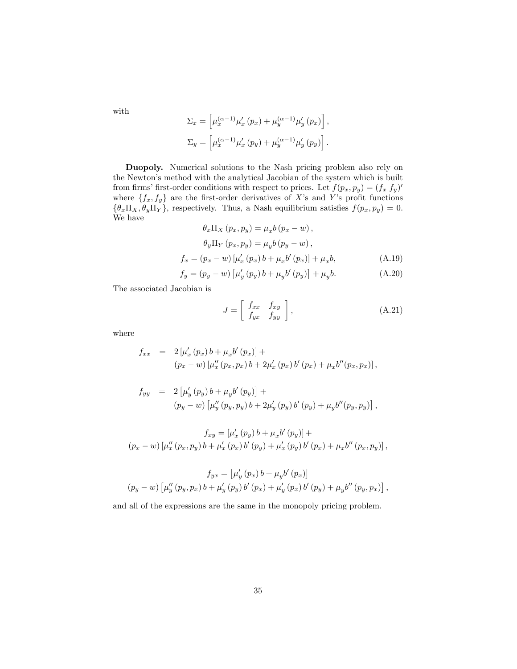with

$$
\Sigma_x = \left[ \mu_x^{(\alpha - 1)} \mu_x' (p_x) + \mu_y^{(\alpha - 1)} \mu_y' (p_x) \right],
$$
  

$$
\Sigma_y = \left[ \mu_x^{(\alpha - 1)} \mu_x' (p_y) + \mu_y^{(\alpha - 1)} \mu_y' (p_y) \right].
$$

Duopoly. Numerical solutions to the Nash pricing problem also rely on the Newton's method with the analytical Jacobian of the system which is built from firms' first-order conditions with respect to prices. Let  $f(p_x, p_y) = (f_x, f_y)$ where  $\{f_x, f_y\}$  are the first-order derivatives of X's and Y's profit functions  $\{\theta_x \Pi_X, \theta_y \Pi_Y\}$ , respectively. Thus, a Nash equilibrium satisfies  $f(p_x, p_y) = 0$ . We have

$$
\theta_x \Pi_X (p_x, p_y) = \mu_x b (p_x - w), \n\theta_y \Pi_Y (p_x, p_y) = \mu_y b (p_y - w), \nf_x = (p_x - w) [\mu'_x (p_x) b + \mu_x b'(p_x)] + \mu_x b, \nf_y = (p_y - w) [\mu'_y (p_y) b + \mu_y b'(p_y)] + \mu_y b.
$$
\n(A.19)

The associated Jacobian is

$$
J = \left[ \begin{array}{cc} f_{xx} & f_{xy} \\ f_{yx} & f_{yy} \end{array} \right], \tag{A.21}
$$

where

$$
f_{xx} = 2 [\mu'_x (p_x) b + \mu_x b' (p_x)] +
$$
  
\n
$$
(p_x - w) [\mu''_x (p_x, p_x) b + 2 \mu'_x (p_x) b' (p_x) + \mu_x b'' (p_x, p_x)],
$$

$$
f_{yy} = 2 \left[ \mu'_{y} (p_{y}) b + \mu_{y} b' (p_{y}) \right] +
$$
  
\n
$$
(p_{y} - w) \left[ \mu''_{y} (p_{y}, p_{y}) b + 2 \mu'_{y} (p_{y}) b' (p_{y}) + \mu_{y} b'' (p_{y}, p_{y}) \right],
$$

$$
f_{xy} = [\mu'_x (p_y) b + \mu_x b' (p_y)] +
$$
  

$$
(p_x - w) [\mu''_x (p_x, p_y) b + \mu'_x (p_x) b' (p_y) + \mu'_x (p_y) b' (p_x) + \mu_x b'' (p_x, p_y)],
$$

$$
f_{yx} = \left[\mu'_y(p_x) b + \mu_y b'(p_x)\right]
$$
  

$$
(p_y - w) \left[\mu''_y(p_y, p_x) b + \mu'_y(p_y) b'(p_x) + \mu'_y(p_x) b'(p_y) + \mu_y b''(p_y, p_x)\right],
$$

and all of the expressions are the same in the monopoly pricing problem.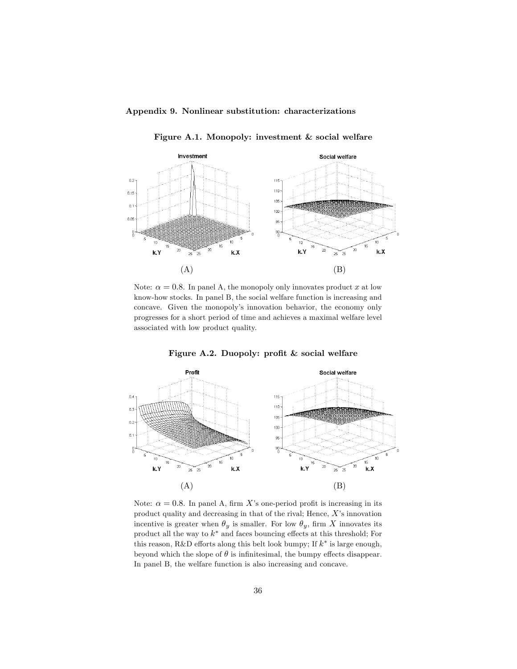## Appendix 9. Nonlinear substitution: characterizations

Figure A.1. Monopoly: investment & social welfare



Note:  $\alpha = 0.8$ . In panel A, the monopoly only innovates product x at low know-how stocks. In panel B, the social welfare function is increasing and concave. Given the monopoly's innovation behavior, the economy only progresses for a short period of time and achieves a maximal welfare level associated with low product quality.



Figure A.2. Duopoly: profit  $&$  social welfare

Note:  $\alpha = 0.8$ . In panel A, firm X's one-period profit is increasing in its product quality and decreasing in that of the rival; Hence,  $X$ 's innovation incentive is greater when  $\theta_y$  is smaller. For low  $\theta_y$ , firm X innovates its product all the way to  $k^*$  and faces bouncing effects at this threshold; For this reason, R&D efforts along this belt look bumpy; If  $k^*$  is large enough, beyond which the slope of  $\theta$  is infinitesimal, the bumpy effects disappear. In panel B, the welfare function is also increasing and concave.